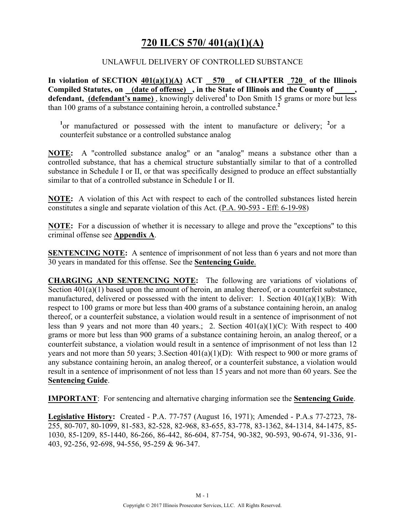## **720 ILCS 570/ 401(a)(1)(A)**

#### UNLAWFUL DELIVERY OF CONTROLLED SUBSTANCE

**In violation of SECTION 401(a)(1)(A) ACT 570 of CHAPTER 720 of the Illinois**  Compiled Statutes, on (date of offense), in the State of Illinois and the County of defendant, (defendant's name), knowingly delivered<sup>1</sup> to Don Smith 15 grams or more but less than 100 grams of a substance containing heroin, a controlled substance.**<sup>2</sup>**

<sup>1</sup> or manufactured or possessed with the intent to manufacture or delivery; <sup>2</sup> or a counterfeit substance or a controlled substance analog

**NOTE:** A "controlled substance analog" or an "analog" means a substance other than a controlled substance, that has a chemical structure substantially similar to that of a controlled substance in Schedule I or II, or that was specifically designed to produce an effect substantially similar to that of a controlled substance in Schedule I or II.

**NOTE:** A violation of this Act with respect to each of the controlled substances listed herein constitutes a single and separate violation of this Act. (P.A. 90-593 - Eff: 6-19-98)

**NOTE:** For a discussion of whether it is necessary to allege and prove the "exceptions" to this criminal offense see **Appendix A**.

**SENTENCING NOTE:** A sentence of imprisonment of not less than 6 years and not more than 30 years in mandated for this offense. See the **Sentencing Guide**.

**CHARGING AND SENTENCING NOTE:** The following are variations of violations of Section  $401(a)(1)$  based upon the amount of heroin, an analog thereof, or a counterfeit substance, manufactured, delivered or possessed with the intent to deliver: 1. Section 401(a)(1)(B): With respect to 100 grams or more but less than 400 grams of a substance containing heroin, an analog thereof, or a counterfeit substance, a violation would result in a sentence of imprisonment of not less than 9 years and not more than 40 years.; 2. Section 401(a)(1)(C): With respect to 400 grams or more but less than 900 grams of a substance containing heroin, an analog thereof, or a counterfeit substance, a violation would result in a sentence of imprisonment of not less than 12 years and not more than 50 years; 3. Section  $401(a)(1)(D)$ : With respect to 900 or more grams of any substance containing heroin, an analog thereof, or a counterfeit substance, a violation would result in a sentence of imprisonment of not less than 15 years and not more than 60 years. See the **Sentencing Guide**.

**IMPORTANT**: For sentencing and alternative charging information see the **Sentencing Guide**.

**Legislative History:** Created - P.A. 77-757 (August 16, 1971); Amended - P.A.s 77-2723, 78- 255, 80-707, 80-1099, 81-583, 82-528, 82-968, 83-655, 83-778, 83-1362, 84-1314, 84-1475, 85- 1030, 85-1209, 85-1440, 86-266, 86-442, 86-604, 87-754, 90-382, 90-593, 90-674, 91-336, 91- 403, 92-256, 92-698, 94-556, 95-259 & 96-347.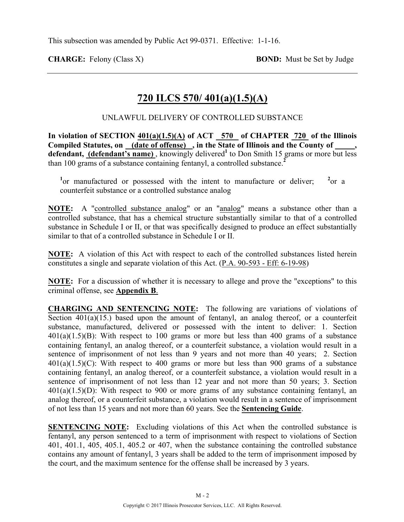**CHARGE:** Felony (Class X) **BOND:** Must be Set by Judge

# **720 ILCS 570/ 401(a)(1.5)(A)**

UNLAWFUL DELIVERY OF CONTROLLED SUBSTANCE

In violation of SECTION  $401(a)(1.5)(A)$  of ACT  $-570$  of CHAPTER  $-720$  of the Illinois **Compiled Statutes, on (date of offense) , in the State of Illinois and the County of \_\_\_\_\_,**  defendant, (defendant's name), knowingly delivered<sup>1</sup> to Don Smith 15 grams or more but less than 100 grams of a substance containing fentanyl, a controlled substance.**<sup>2</sup>**

<sup>1</sup> or manufactured or possessed with the intent to manufacture or deliver; <sup>2</sup>  $^{2}$ or a counterfeit substance or a controlled substance analog

**NOTE:** A "controlled substance analog" or an "analog" means a substance other than a controlled substance, that has a chemical structure substantially similar to that of a controlled substance in Schedule I or II, or that was specifically designed to produce an effect substantially similar to that of a controlled substance in Schedule I or II.

**NOTE:** A violation of this Act with respect to each of the controlled substances listed herein constitutes a single and separate violation of this Act. (P.A. 90-593 - Eff: 6-19-98)

**NOTE:** For a discussion of whether it is necessary to allege and prove the "exceptions" to this criminal offense, see **Appendix B**.

**CHARGING AND SENTENCING NOTE:** The following are variations of violations of Section 401(a)(15.) based upon the amount of fentanyl, an analog thereof, or a counterfeit substance, manufactured, delivered or possessed with the intent to deliver: 1. Section  $401(a)(1.5)(B)$ : With respect to 100 grams or more but less than 400 grams of a substance containing fentanyl, an analog thereof, or a counterfeit substance, a violation would result in a sentence of imprisonment of not less than 9 years and not more than 40 years; 2. Section  $401(a)(1.5)(C)$ : With respect to 400 grams or more but less than 900 grams of a substance containing fentanyl, an analog thereof, or a counterfeit substance, a violation would result in a sentence of imprisonment of not less than 12 year and not more than 50 years; 3. Section  $401(a)(1.5)(D)$ : With respect to 900 or more grams of any substance containing fentanyl, an analog thereof, or a counterfeit substance, a violation would result in a sentence of imprisonment of not less than 15 years and not more than 60 years. See the **Sentencing Guide**.

**SENTENCING NOTE:** Excluding violations of this Act when the controlled substance is fentanyl, any person sentenced to a term of imprisonment with respect to violations of Section 401, 401.1, 405, 405.1, 405.2 or 407, when the substance containing the controlled substance contains any amount of fentanyl, 3 years shall be added to the term of imprisonment imposed by the court, and the maximum sentence for the offense shall be increased by 3 years.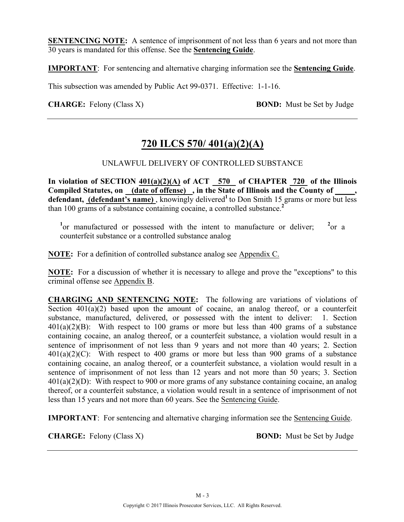**SENTENCING NOTE:** A sentence of imprisonment of not less than 6 years and not more than 30 years is mandated for this offense. See the **Sentencing Guide**.

**IMPORTANT**: For sentencing and alternative charging information see the **Sentencing Guide**.

This subsection was amended by Public Act 99-0371. Effective: 1-1-16.

**CHARGE:** Felony (Class X) **BOND:** Must be Set by Judge

## **720 ILCS 570/ 401(a)(2)(A)**

#### UNLAWFUL DELIVERY OF CONTROLLED SUBSTANCE

**In violation of SECTION 401(a)(2)(A) of ACT 570 of CHAPTER 720 of the Illinois Compiled Statutes, on (date of offense) , in the State of Illinois and the County of \_\_\_\_\_,**  defendant, (defendant's name), knowingly delivered<sup>1</sup> to Don Smith 15 grams or more but less than 100 grams of a substance containing cocaine, a controlled substance.**<sup>2</sup>**

<sup>1</sup> or manufactured or possessed with the intent to manufacture or deliver;  $^{2}$ or a counterfeit substance or a controlled substance analog

**NOTE:** For a definition of controlled substance analog see Appendix C.

**NOTE:** For a discussion of whether it is necessary to allege and prove the "exceptions" to this criminal offense see Appendix B.

**CHARGING AND SENTENCING NOTE:** The following are variations of violations of Section  $401(a)(2)$  based upon the amount of cocaine, an analog thereof, or a counterfeit substance, manufactured, delivered, or possessed with the intent to deliver: 1. Section  $401(a)(2)(B)$ : With respect to 100 grams or more but less than 400 grams of a substance containing cocaine, an analog thereof, or a counterfeit substance, a violation would result in a sentence of imprisonment of not less than 9 years and not more than 40 years; 2. Section  $401(a)(2)(C)$ : With respect to 400 grams or more but less than 900 grams of a substance containing cocaine, an analog thereof, or a counterfeit substance, a violation would result in a sentence of imprisonment of not less than 12 years and not more than 50 years; 3. Section 401(a)(2)(D): With respect to 900 or more grams of any substance containing cocaine, an analog thereof, or a counterfeit substance, a violation would result in a sentence of imprisonment of not less than 15 years and not more than 60 years. See the Sentencing Guide.

**IMPORTANT**: For sentencing and alternative charging information see the Sentencing Guide.

**CHARGE:** Felony (Class X) **BOND:** Must be Set by Judge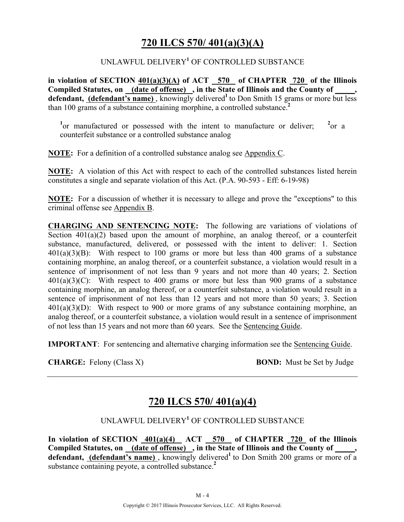## **720 ILCS 570/ 401(a)(3)(A)**

#### UNLAWFUL DELIVERY**<sup>1</sup>** OF CONTROLLED SUBSTANCE

**in violation of SECTION 401(a)(3)(A) of ACT 570 of CHAPTER 720 of the Illinois Compiled Statutes, on (date of offense) , in the State of Illinois and the County of \_\_\_\_\_,**  defendant, (defendant's name), knowingly delivered<sup>1</sup> to Don Smith 15 grams or more but less than 100 grams of a substance containing morphine, a controlled substance.**<sup>2</sup>**

<sup>1</sup> or manufactured or possessed with the intent to manufacture or deliver;  $^{2}$ or a counterfeit substance or a controlled substance analog

**NOTE:** For a definition of a controlled substance analog see Appendix C.

**NOTE:** A violation of this Act with respect to each of the controlled substances listed herein constitutes a single and separate violation of this Act. (P.A. 90-593 - Eff: 6-19-98)

**NOTE:** For a discussion of whether it is necessary to allege and prove the "exceptions" to this criminal offense see Appendix B.

**CHARGING AND SENTENCING NOTE:** The following are variations of violations of Section  $401(a)(2)$  based upon the amount of morphine, an analog thereof, or a counterfeit substance, manufactured, delivered, or possessed with the intent to deliver: 1. Section  $401(a)(3)(B)$ : With respect to 100 grams or more but less than 400 grams of a substance containing morphine, an analog thereof, or a counterfeit substance, a violation would result in a sentence of imprisonment of not less than 9 years and not more than 40 years; 2. Section 401(a)(3)(C): With respect to 400 grams or more but less than 900 grams of a substance containing morphine, an analog thereof, or a counterfeit substance, a violation would result in a sentence of imprisonment of not less than 12 years and not more than 50 years; 3. Section 401(a)(3)(D): With respect to 900 or more grams of any substance containing morphine, an analog thereof, or a counterfeit substance, a violation would result in a sentence of imprisonment of not less than 15 years and not more than 60 years. See the Sentencing Guide.

**IMPORTANT**: For sentencing and alternative charging information see the Sentencing Guide.

**CHARGE:** Felony (Class X) **BOND:** Must be Set by Judge

## **720 ILCS 570/ 401(a)(4)**

#### UNLAWFUL DELIVERY**<sup>1</sup>** OF CONTROLLED SUBSTANCE

**In violation of SECTION 401(a)(4) ACT 570 of CHAPTER 720 of the Illinois Compiled Statutes, on (date of offense) , in the State of Illinois and the County of \_\_\_\_\_, defendant, (defendant's name)**, knowingly delivered<sup>1</sup> to Don Smith 200 grams or more of a substance containing peyote, a controlled substance.**<sup>2</sup>**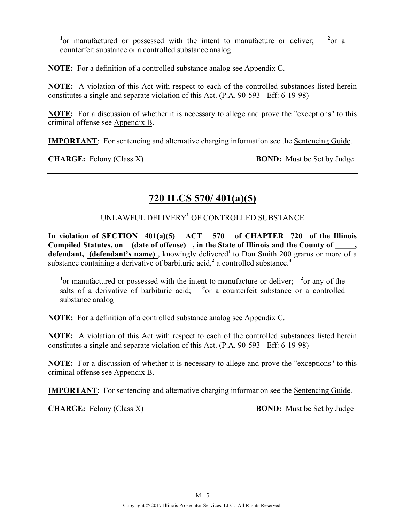<sup>1</sup> or manufactured or possessed with the intent to manufacture or deliver;  $^{2}$ or a counterfeit substance or a controlled substance analog

**NOTE:** For a definition of a controlled substance analog see Appendix C.

**NOTE:** A violation of this Act with respect to each of the controlled substances listed herein constitutes a single and separate violation of this Act. (P.A. 90-593 - Eff: 6-19-98)

**NOTE:** For a discussion of whether it is necessary to allege and prove the "exceptions" to this criminal offense see Appendix B.

**IMPORTANT**: For sentencing and alternative charging information see the Sentencing Guide.

**CHARGE:** Felony (Class X) **BOND:** Must be Set by Judge

# **720 ILCS 570/ 401(a)(5)**

### UNLAWFUL DELIVERY**<sup>1</sup>** OF CONTROLLED SUBSTANCE

In violation of SECTION  $401(a)(5)$  ACT 570 of CHAPTER 720 of the Illinois Compiled Statutes, on (date of offense), in the State of Illinois and the County of defendant, (defendant's name), knowingly delivered<sup>1</sup> to Don Smith 200 grams or more of a substance containing a derivative of barbituric acid,<sup>2</sup> a controlled substance.<sup>3</sup>

<sup>1</sup> or manufactured or possessed with the intent to manufacture or deliver; <sup>2</sup> or any of the salts of a derivative of barbituric acid;  $3$  or a counterfeit substance or a controlled substance analog

**NOTE:** For a definition of a controlled substance analog see Appendix C.

**NOTE:** A violation of this Act with respect to each of the controlled substances listed herein constitutes a single and separate violation of this Act. (P.A. 90-593 - Eff: 6-19-98)

**NOTE:** For a discussion of whether it is necessary to allege and prove the "exceptions" to this criminal offense see Appendix B.

**IMPORTANT**: For sentencing and alternative charging information see the Sentencing Guide.

**CHARGE:** Felony (Class X) **BOND:** Must be Set by Judge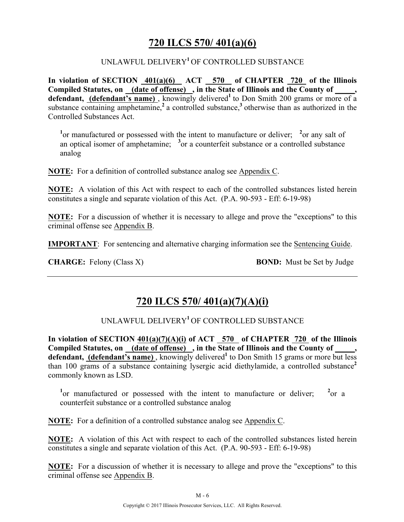## **720 ILCS 570/ 401(a)(6)**

#### UNLAWFUL DELIVERY**<sup>1</sup>**OF CONTROLLED SUBSTANCE

**In violation of SECTION 401(a)(6) ACT 570 of CHAPTER 720 of the Illinois**  Compiled Statutes, on (date of offense), in the State of Illinois and the County of defendant, (defendant's name), knowingly delivered<sup>1</sup> to Don Smith 200 grams or more of a substance containing amphetamine,<sup>2</sup> a controlled substance,<sup>3</sup> otherwise than as authorized in the Controlled Substances Act.

<sup>1</sup> or manufactured or possessed with the intent to manufacture or deliver; <sup>2</sup> or any salt of an optical isomer of amphetamine; <sup>3</sup> or a counterfeit substance or a controlled substance analog

**NOTE:** For a definition of controlled substance analog see Appendix C.

**NOTE:** A violation of this Act with respect to each of the controlled substances listed herein constitutes a single and separate violation of this Act. (P.A. 90-593 - Eff: 6-19-98)

**NOTE:** For a discussion of whether it is necessary to allege and prove the "exceptions" to this criminal offense see Appendix B.

**IMPORTANT**: For sentencing and alternative charging information see the Sentencing Guide.

**CHARGE:** Felony (Class X) **BOND:** Must be Set by Judge

# **720 ILCS 570/ 401(a)(7)(A)(i)**

#### UNLAWFUL DELIVERY**<sup>1</sup>**OF CONTROLLED SUBSTANCE

**In violation of SECTION 401(a)(7)(A)(i) of ACT 570 of CHAPTER 720 of the Illinois**  Compiled Statutes, on (date of offense), in the State of Illinois and the County of defendant, (defendant's name), knowingly delivered<sup>1</sup> to Don Smith 15 grams or more but less than 100 grams of a substance containing lysergic acid diethylamide, a controlled substance**<sup>2</sup>** commonly known as LSD.

<sup>1</sup> or manufactured or possessed with the intent to manufacture or deliver;  $^{2}$ or a counterfeit substance or a controlled substance analog

**NOTE:** For a definition of a controlled substance analog see Appendix C.

**NOTE:** A violation of this Act with respect to each of the controlled substances listed herein constitutes a single and separate violation of this Act. (P.A. 90-593 - Eff: 6-19-98)

**NOTE:** For a discussion of whether it is necessary to allege and prove the "exceptions" to this criminal offense see Appendix B.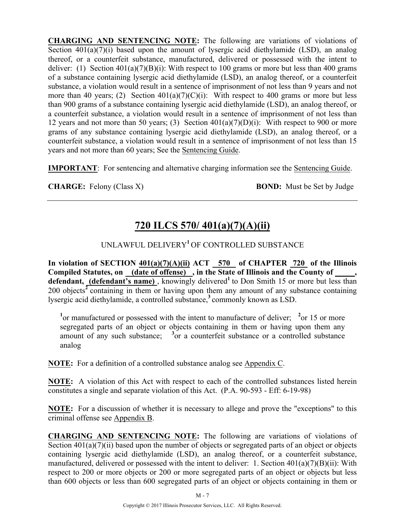**CHARGING AND SENTENCING NOTE:** The following are variations of violations of Section  $401(a)(7)(i)$  based upon the amount of lysergic acid diethylamide (LSD), an analog thereof, or a counterfeit substance, manufactured, delivered or possessed with the intent to deliver: (1) Section  $401(a)(7)(B)(i)$ : With respect to 100 grams or more but less than 400 grams of a substance containing lysergic acid diethylamide (LSD), an analog thereof, or a counterfeit substance, a violation would result in a sentence of imprisonment of not less than 9 years and not more than 40 years; (2) Section  $401(a)(7)(C)(i)$ : With respect to 400 grams or more but less than 900 grams of a substance containing lysergic acid diethylamide (LSD), an analog thereof, or a counterfeit substance, a violation would result in a sentence of imprisonment of not less than 12 years and not more than 50 years; (3) Section  $401(a)(7)(D)(i)$ : With respect to 900 or more grams of any substance containing lysergic acid diethylamide (LSD), an analog thereof, or a counterfeit substance, a violation would result in a sentence of imprisonment of not less than 15 years and not more than 60 years; See the Sentencing Guide.

**IMPORTANT**: For sentencing and alternative charging information see the Sentencing Guide.

**CHARGE:** Felony (Class X) **BOND:** Must be Set by Judge

# **720 ILCS 570/ 401(a)(7)(A)(ii)**

## UNLAWFUL DELIVERY**<sup>1</sup>**OF CONTROLLED SUBSTANCE

In violation of SECTION  $401(a)(7)(A)(ii)$  ACT 570 of CHAPTER 720 of the Illinois **Compiled Statutes, on (date of offense) , in the State of Illinois and the County of \_\_\_\_\_,**  defendant, (defendant's name), knowingly delivered<sup>1</sup> to Don Smith 15 or more but less than 200 objects**<sup>2</sup>**containing in them or having upon them any amount of any substance containing lysergic acid diethylamide, a controlled substance,**<sup>3</sup>**commonly known as LSD.

<sup>1</sup> or manufactured or possessed with the intent to manufacture of deliver; <sup>2</sup> or 15 or more segregated parts of an object or objects containing in them or having upon them any amount of any such substance; <sup>3</sup> or a counterfeit substance or a controlled substance analog

**NOTE:** For a definition of a controlled substance analog see Appendix C.

**NOTE:** A violation of this Act with respect to each of the controlled substances listed herein constitutes a single and separate violation of this Act. (P.A. 90-593 - Eff: 6-19-98)

**NOTE:** For a discussion of whether it is necessary to allege and prove the "exceptions" to this criminal offense see Appendix B.

**CHARGING AND SENTENCING NOTE:** The following are variations of violations of Section  $401(a)(7)(ii)$  based upon the number of objects or segregated parts of an object or objects containing lysergic acid diethylamide (LSD), an analog thereof, or a counterfeit substance, manufactured, delivered or possessed with the intent to deliver: 1. Section 401(a)(7)(B)(ii): With respect to 200 or more objects or 200 or more segregated parts of an object or objects but less than 600 objects or less than 600 segregated parts of an object or objects containing in them or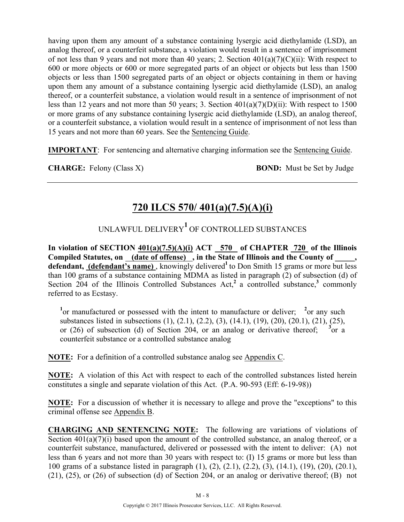having upon them any amount of a substance containing lysergic acid diethylamide (LSD), an analog thereof, or a counterfeit substance, a violation would result in a sentence of imprisonment of not less than 9 years and not more than 40 years; 2. Section  $401(a)(7)(C)(ii)$ : With respect to 600 or more objects or 600 or more segregated parts of an object or objects but less than 1500 objects or less than 1500 segregated parts of an object or objects containing in them or having upon them any amount of a substance containing lysergic acid diethylamide (LSD), an analog thereof, or a counterfeit substance, a violation would result in a sentence of imprisonment of not less than 12 years and not more than 50 years; 3. Section 401(a)(7)(D)(ii): With respect to 1500 or more grams of any substance containing lysergic acid diethylamide (LSD), an analog thereof, or a counterfeit substance, a violation would result in a sentence of imprisonment of not less than 15 years and not more than 60 years. See the Sentencing Guide.

**IMPORTANT**: For sentencing and alternative charging information see the Sentencing Guide.

**CHARGE:** Felony (Class X) **BOND:** Must be Set by Judge

# **720 ILCS 570/ 401(a)(7.5)(A)(i)**

# UNLAWFUL DELIVERY**<sup>1</sup>** OF CONTROLLED SUBSTANCES

**In violation of SECTION 401(a)(7.5)(A)(i) ACT 570 of CHAPTER 720 of the Illinois**  Compiled Statutes, on (date of offense), in the State of Illinois and the County of defendant, (defendant's name), knowingly delivered<sup>1</sup> to Don Smith 15 grams or more but less than 100 grams of a substance containing MDMA as listed in paragraph (2) of subsection (d) of Section 204 of the Illinois Controlled Substances Act,<sup>2</sup> a controlled substance,<sup>3</sup> commonly referred to as Ecstasy.

<sup>1</sup> or manufactured or possessed with the intent to manufacture or deliver; <sup>2</sup> or any such substances listed in subsections (1), (2.1), (2.2), (3), (14.1), (19), (20), (20.1), (21), (25), or (26) of subsection (d) of Section 204, or an analog or derivative thereof; <sup>3</sup> or a counterfeit substance or a controlled substance analog

**NOTE:** For a definition of a controlled substance analog see Appendix C.

**NOTE:** A violation of this Act with respect to each of the controlled substances listed herein constitutes a single and separate violation of this Act. (P.A. 90-593 (Eff: 6-19-98))

**NOTE:** For a discussion of whether it is necessary to allege and prove the "exceptions" to this criminal offense see Appendix B.

**CHARGING AND SENTENCING NOTE:** The following are variations of violations of Section  $401(a)(7)(i)$  based upon the amount of the controlled substance, an analog thereof, or a counterfeit substance, manufactured, delivered or possessed with the intent to deliver: (A) not less than 6 years and not more than 30 years with respect to: (I) 15 grams or more but less than 100 grams of a substance listed in paragraph (1), (2), (2.1), (2.2), (3), (14.1), (19), (20), (20.1), (21), (25), or (26) of subsection (d) of Section 204, or an analog or derivative thereof; (B) not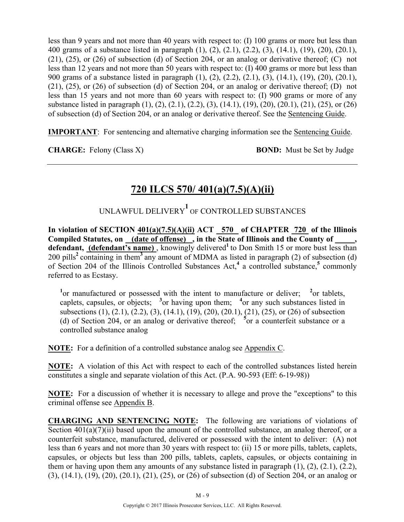less than 9 years and not more than 40 years with respect to: (I) 100 grams or more but less than 400 grams of a substance listed in paragraph (1), (2), (2.1), (2.2), (3), (14.1), (19), (20), (20.1), (21), (25), or (26) of subsection (d) of Section 204, or an analog or derivative thereof; (C) not less than 12 years and not more than 50 years with respect to: (I) 400 grams or more but less than 900 grams of a substance listed in paragraph (1), (2), (2.2), (2.1), (3), (14.1), (19), (20), (20.1), (21), (25), or (26) of subsection (d) of Section 204, or an analog or derivative thereof; (D) not less than 15 years and not more than 60 years with respect to: (I) 900 grams or more of any substance listed in paragraph (1), (2), (2.1), (2.2), (3), (14.1), (19), (20), (20.1), (21), (25), or (26) of subsection (d) of Section 204, or an analog or derivative thereof. See the Sentencing Guide.

**IMPORTANT**: For sentencing and alternative charging information see the Sentencing Guide.

**CHARGE:** Felony (Class X) **BOND:** Must be Set by Judge

# **720 ILCS 570/ 401(a)(7.5)(A)(ii)**

UNLAWFUL DELIVERY**<sup>1</sup>** OF CONTROLLED SUBSTANCES

**In violation of SECTION 401(a)(7.5)(A)(ii) ACT 570 of CHAPTER 720 of the Illinois Compiled Statutes, on (date of offense) , in the State of Illinois and the County of \_\_\_\_\_,**  defendant, (defendant's name), knowingly delivered<sup>1</sup> to Don Smith 15 or more bust less than 200 pills**<sup>2</sup>**containing in them**<sup>3</sup>**any amount of MDMA as listed in paragraph (2) of subsection (d) of Section 204 of the Illinois Controlled Substances Act,**<sup>4</sup>** a controlled substance,**<sup>5</sup>** commonly referred to as Ecstasy.

<sup>1</sup> or manufactured or possessed with the intent to manufacture or deliver; <sup>2</sup> or tablets, caplets, capsules, or objects;  $\frac{3}{2}$  or having upon them;  $\frac{4}{2}$  or any such substances listed in subsections (1), (2.1), (2.2), (3), (14.1), (19), (20), (20.1), (21), (25), or (26) of subsection (d) of Section 204, or an analog or derivative thereof; **<sup>5</sup>** or a counterfeit substance or a controlled substance analog

**NOTE:** For a definition of a controlled substance analog see Appendix C.

**NOTE:** A violation of this Act with respect to each of the controlled substances listed herein constitutes a single and separate violation of this Act. (P.A. 90-593 (Eff: 6-19-98))

**NOTE:** For a discussion of whether it is necessary to allege and prove the "exceptions" to this criminal offense see Appendix B.

**CHARGING AND SENTENCING NOTE:** The following are variations of violations of Section  $401(a)(7)(ii)$  based upon the amount of the controlled substance, an analog thereof, or a counterfeit substance, manufactured, delivered or possessed with the intent to deliver: (A) not less than 6 years and not more than 30 years with respect to: (ii) 15 or more pills, tablets, caplets, capsules, or objects but less than 200 pills, tablets, caplets, capsules, or objects containing in them or having upon them any amounts of any substance listed in paragraph  $(1)$ ,  $(2)$ ,  $(2.1)$ ,  $(2.2)$ , (3), (14.1), (19), (20), (20.1), (21), (25), or (26) of subsection (d) of Section 204, or an analog or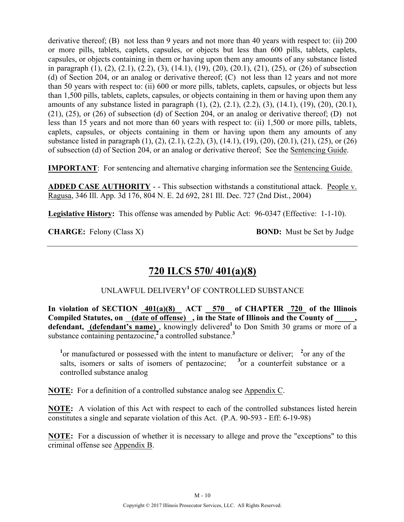derivative thereof; (B) not less than 9 years and not more than 40 years with respect to: (ii) 200 or more pills, tablets, caplets, capsules, or objects but less than 600 pills, tablets, caplets, capsules, or objects containing in them or having upon them any amounts of any substance listed in paragraph (1), (2), (2.1), (2.2), (3), (14.1), (19), (20), (20.1), (21), (25), or (26) of subsection (d) of Section 204, or an analog or derivative thereof; (C) not less than 12 years and not more than 50 years with respect to: (ii) 600 or more pills, tablets, caplets, capsules, or objects but less than 1,500 pills, tablets, caplets, capsules, or objects containing in them or having upon them any amounts of any substance listed in paragraph (1), (2), (2.1), (2.2), (3), (14.1), (19), (20), (20.1), (21), (25), or (26) of subsection (d) of Section 204, or an analog or derivative thereof; (D) not less than 15 years and not more than 60 years with respect to: (ii) 1,500 or more pills, tablets, caplets, capsules, or objects containing in them or having upon them any amounts of any substance listed in paragraph (1), (2), (2.1), (2.2), (3), (14.1), (19), (20), (20.1), (21), (25), or (26) of subsection (d) of Section 204, or an analog or derivative thereof; See the Sentencing Guide.

**IMPORTANT**: For sentencing and alternative charging information see the Sentencing Guide.

**ADDED CASE AUTHORITY** - - This subsection withstands a constitutional attack. People v. Ragusa, 346 Ill. App. 3d 176, 804 N. E. 2d 692, 281 Ill. Dec. 727 (2nd Dist., 2004)

**Legislative History:** This offense was amended by Public Act: 96-0347 (Effective: 1-1-10).

**CHARGE:** Felony (Class X) **BOND:** Must be Set by Judge

# **720 ILCS 570/ 401(a)(8)**

#### UNLAWFUL DELIVERY**<sup>1</sup>**OF CONTROLLED SUBSTANCE

In violation of SECTION  $401(a)(8)$  ACT 570 of CHAPTER 720 of the Illinois Compiled Statutes, on <u>(date of offense)</u>, in the State of Illinois and the County of defendant, (defendant's name), knowingly delivered<sup>1</sup> to Don Smith 30 grams or more of a substance containing pentazocine,<sup>2</sup> a controlled substance.<sup>3</sup>

<sup>1</sup> or manufactured or possessed with the intent to manufacture or deliver; <sup>2</sup> or any of the salts, isomers or salts of isomers of pentazocine;  $3$  or a counterfeit substance or a controlled substance analog

**NOTE:** For a definition of a controlled substance analog see Appendix C.

**NOTE:** A violation of this Act with respect to each of the controlled substances listed herein constitutes a single and separate violation of this Act. (P.A. 90-593 - Eff: 6-19-98)

**NOTE:** For a discussion of whether it is necessary to allege and prove the "exceptions" to this criminal offense see Appendix B.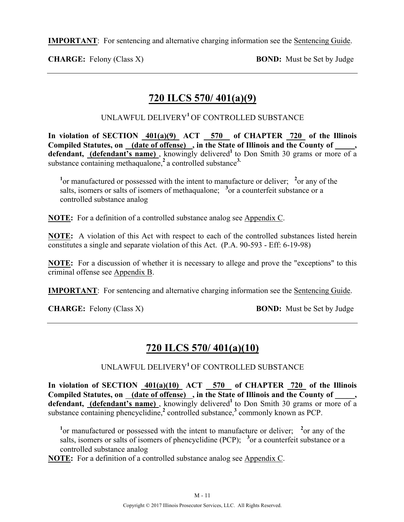**IMPORTANT**: For sentencing and alternative charging information see the Sentencing Guide.

**CHARGE:** Felony (Class X) **BOND:** Must be Set by Judge

# **720 ILCS 570/ 401(a)(9)**

UNLAWFUL DELIVERY**<sup>1</sup>**OF CONTROLLED SUBSTANCE

In violation of SECTION  $401(a)(9)$  ACT 570 of CHAPTER 720 of the Illinois **Compiled Statutes, on (date of offense) , in the State of Illinois and the County of \_\_\_\_\_,**  defendant, **(defendant's name)**, knowingly delivered<sup>1</sup> to Don Smith 30 grams or more of a substance containing methaqualone,**<sup>2</sup>**a controlled substance**3.**

<sup>1</sup> or manufactured or possessed with the intent to manufacture or deliver; <sup>2</sup> or any of the salts, isomers or salts of isomers of methaqualone; <sup>3</sup> or a counterfeit substance or a controlled substance analog

**NOTE:** For a definition of a controlled substance analog see Appendix C.

**NOTE:** A violation of this Act with respect to each of the controlled substances listed herein constitutes a single and separate violation of this Act. (P.A. 90-593 - Eff: 6-19-98)

**NOTE:** For a discussion of whether it is necessary to allege and prove the "exceptions" to this criminal offense see Appendix B.

**IMPORTANT**: For sentencing and alternative charging information see the Sentencing Guide.

**CHARGE:** Felony (Class X) **BOND:** Must be Set by Judge

# **720 ILCS 570/ 401(a)(10)**

UNLAWFUL DELIVERY**<sup>1</sup>**OF CONTROLLED SUBSTANCE

In violation of SECTION  $401(a)(10)$  ACT 570 of CHAPTER 720 of the Illinois Compiled Statutes, on (date of offense), in the State of Illinois and the County of defendant, (defendant's name), knowingly delivered<sup>1</sup> to Don Smith 30 grams or more of a substance containing phencyclidine,<sup>2</sup> controlled substance,<sup>3</sup> commonly known as PCP.

<sup>1</sup> or manufactured or possessed with the intent to manufacture or deliver; <sup>2</sup> or any of the salts, isomers or salts of isomers of phencyclidine (PCP);  $3$  or a counterfeit substance or a controlled substance analog

**NOTE:** For a definition of a controlled substance analog see Appendix C.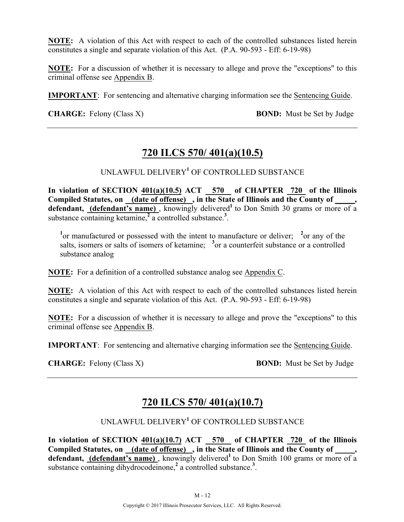**NOTE:** A violation of this Act with respect to each of the controlled substances listed herein constitutes a single and separate violation of this Act. (P.A. 90-593 - Eff: 6-19-98)

**NOTE:** For a discussion of whether it is necessary to allege and prove the "exceptions" to this criminal offense see Appendix B.

**IMPORTANT**: For sentencing and alternative charging information see the Sentencing Guide.

**CHARGE:** Felony (Class X) **BOND:** Must be Set by Judge

## **720 ILCS 570/ 401(a)(10.5)**

UNLAWFUL DELIVERY**<sup>1</sup>** OF CONTROLLED SUBSTANCE

In violation of SECTION  $401(a)(10.5)$  ACT  $-570$  of CHAPTER  $720$  of the Illinois **Compiled Statutes, on (date of offense) , in the State of Illinois and the County of \_\_\_\_\_, defendant, (defendant's name)**, knowingly delivered<sup>1</sup> to Don Smith 30 grams or more of a substance containing ketamine,<sup>2</sup> a controlled substance.<sup>3</sup>.

<sup>1</sup> or manufactured or possessed with the intent to manufacture or deliver; <sup>2</sup> or any of the salts, isomers or salts of isomers of ketamine; <sup>3</sup> or a counterfeit substance or a controlled substance analog

**NOTE:** For a definition of a controlled substance analog see Appendix C.

**NOTE:** A violation of this Act with respect to each of the controlled substances listed herein constitutes a single and separate violation of this Act. (P.A. 90-593 - Eff: 6-19-98)

**NOTE:** For a discussion of whether it is necessary to allege and prove the "exceptions" to this criminal offense see Appendix B.

**IMPORTANT**: For sentencing and alternative charging information see the Sentencing Guide.

**CHARGE:** Felony (Class X) **BOND:** Must be Set by Judge

## **720 ILCS 570/ 401(a)(10.7)**

UNLAWFUL DELIVERY**<sup>1</sup>** OF CONTROLLED SUBSTANCE

**In violation of SECTION 401(a)(10.7) ACT 570 of CHAPTER 720 of the Illinois**  Compiled Statutes, on (date of offense), in the State of Illinois and the County of **defendant, (defendant's name)**, knowingly delivered<sup>1</sup> to Don Smith 100 grams or more of a substance containing dihydrocodeinone,<sup>2</sup> a controlled substance.<sup>3</sup>.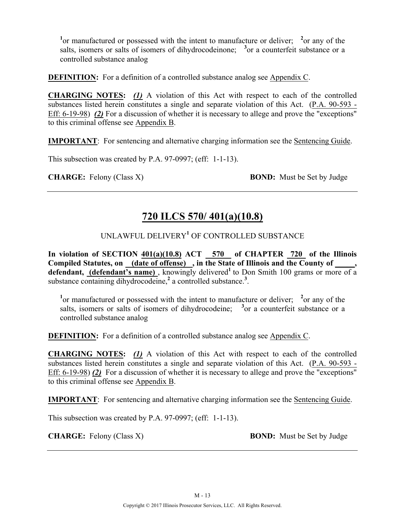<sup>1</sup> or manufactured or possessed with the intent to manufacture or deliver; <sup>2</sup> or any of the salts, isomers or salts of isomers of dihydrocodeinone; <sup>3</sup> or a counterfeit substance or a controlled substance analog

**DEFINITION:** For a definition of a controlled substance analog see Appendix C.

**CHARGING NOTES:** *(1)* A violation of this Act with respect to each of the controlled substances listed herein constitutes a single and separate violation of this Act. (P.A. 90-593 - Eff: 6-19-98) *(2)* For a discussion of whether it is necessary to allege and prove the "exceptions" to this criminal offense see Appendix B.

**IMPORTANT**: For sentencing and alternative charging information see the Sentencing Guide.

This subsection was created by P.A. 97-0997; (eff: 1-1-13).

**CHARGE:** Felony (Class X) **BOND:** Must be Set by Judge

# **720 ILCS 570/ 401(a)(10.8)**

## UNLAWFUL DELIVERY**<sup>1</sup>** OF CONTROLLED SUBSTANCE

In violation of SECTION  $401(a)(10.8)$  ACT 570 of CHAPTER 720 of the Illinois Compiled Statutes, on (date of offense), in the State of Illinois and the County of defendant, (defendant's name), knowingly delivered<sup>1</sup> to Don Smith 100 grams or more of a substance containing dihydrocodeine,<sup>2</sup> a controlled substance.<sup>3</sup>.

<sup>1</sup> or manufactured or possessed with the intent to manufacture or deliver; <sup>2</sup> or any of the salts, isomers or salts of isomers of dihydrocodeine;  $3$  or a counterfeit substance or a controlled substance analog

**DEFINITION:** For a definition of a controlled substance analog see Appendix C.

**CHARGING NOTES:** *(1)* A violation of this Act with respect to each of the controlled substances listed herein constitutes a single and separate violation of this Act. (P.A. 90-593 - Eff: 6-19-98) *(2)* For a discussion of whether it is necessary to allege and prove the "exceptions" to this criminal offense see Appendix B.

**IMPORTANT**: For sentencing and alternative charging information see the Sentencing Guide.

This subsection was created by P.A. 97-0997; (eff: 1-1-13).

**CHARGE:** Felony (Class X) **BOND:** Must be Set by Judge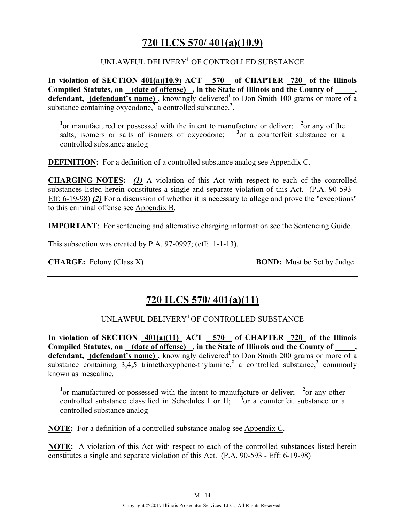## **720 ILCS 570/ 401(a)(10.9)**

#### UNLAWFUL DELIVERY**<sup>1</sup>** OF CONTROLLED SUBSTANCE

**In violation of SECTION 401(a)(10.9) ACT 570 of CHAPTER 720 of the Illinois Compiled Statutes, on (date of offense) , in the State of Illinois and the County of \_\_\_\_\_,**  defendant, (defendant's name), knowingly delivered<sup>1</sup> to Don Smith 100 grams or more of a substance containing  $oxycodone<sup>2</sup>$  a controlled substance.<sup>3</sup>.

<sup>1</sup> or manufactured or possessed with the intent to manufacture or deliver; <sup>2</sup> or any of the salts, isomers or salts of isomers of oxycodone; <sup>3</sup> or a counterfeit substance or a controlled substance analog

**DEFINITION:** For a definition of a controlled substance analog see Appendix C.

**CHARGING NOTES:** *(1)* A violation of this Act with respect to each of the controlled substances listed herein constitutes a single and separate violation of this Act. (P.A. 90-593 - Eff: 6-19-98) *(2)* For a discussion of whether it is necessary to allege and prove the "exceptions" to this criminal offense see Appendix B.

**IMPORTANT**: For sentencing and alternative charging information see the Sentencing Guide.

This subsection was created by P.A. 97-0997; (eff: 1-1-13).

**CHARGE:** Felony (Class X) **BOND:** Must be Set by Judge

## **720 ILCS 570/ 401(a)(11)**

#### UNLAWFUL DELIVERY**<sup>1</sup>**OF CONTROLLED SUBSTANCE

In violation of SECTION  $401(a)(11)$  ACT 570 of CHAPTER 720 of the Illinois Compiled Statutes, on (date of offense), in the State of Illinois and the County of, **defendant, (defendant's name)**, knowingly delivered<sup>1</sup> to Don Smith 200 grams or more of a substance containing  $3.4.5$  trimethoxyphene-thylamine,<sup>2</sup> a controlled substance,<sup>3</sup> commonly known as mescaline.

<sup>1</sup> or manufactured or possessed with the intent to manufacture or deliver; <sup>2</sup> or any other controlled substance classified in Schedules I or II;  $3$  or a counterfeit substance or a controlled substance analog

**NOTE:** For a definition of a controlled substance analog see Appendix C.

**NOTE:** A violation of this Act with respect to each of the controlled substances listed herein constitutes a single and separate violation of this Act. (P.A. 90-593 - Eff: 6-19-98)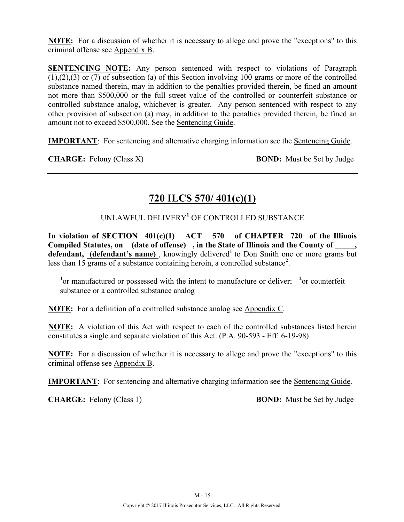**NOTE:** For a discussion of whether it is necessary to allege and prove the "exceptions" to this criminal offense see Appendix B.

**SENTENCING NOTE:** Any person sentenced with respect to violations of Paragraph (1),(2),(3) or (7) of subsection (a) of this Section involving 100 grams or more of the controlled substance named therein, may in addition to the penalties provided therein, be fined an amount not more than \$500,000 or the full street value of the controlled or counterfeit substance or controlled substance analog, whichever is greater. Any person sentenced with respect to any other provision of subsection (a) may, in addition to the penalties provided therein, be fined an amount not to exceed \$500,000. See the Sentencing Guide.

**IMPORTANT**: For sentencing and alternative charging information see the Sentencing Guide.

**CHARGE:** Felony (Class X) **BOND:** Must be Set by Judge

# **720 ILCS 570/ 401(c)(1)**

UNLAWFUL DELIVERY**<sup>1</sup>** OF CONTROLLED SUBSTANCE

In violation of SECTION  $401(c)(1)$  ACT 570 of CHAPTER 720 of the Illinois Compiled Statutes, on (date of offense), in the State of Illinois and the County of defendant, (defendant's name), knowingly delivered<sup>1</sup> to Don Smith one or more grams but less than 15 grams of a substance containing heroin, a controlled substance**<sup>2</sup>** .

<sup>1</sup> or manufactured or possessed with the intent to manufacture or deliver; <sup>2</sup> or counterfeit substance or a controlled substance analog

**NOTE:** For a definition of a controlled substance analog see Appendix C.

**NOTE:** A violation of this Act with respect to each of the controlled substances listed herein constitutes a single and separate violation of this Act. (P.A. 90-593 - Eff: 6-19-98)

**NOTE:** For a discussion of whether it is necessary to allege and prove the "exceptions" to this criminal offense see Appendix B.

**IMPORTANT**: For sentencing and alternative charging information see the Sentencing Guide.

**CHARGE:** Felony (Class 1) **BOND:** Must be Set by Judge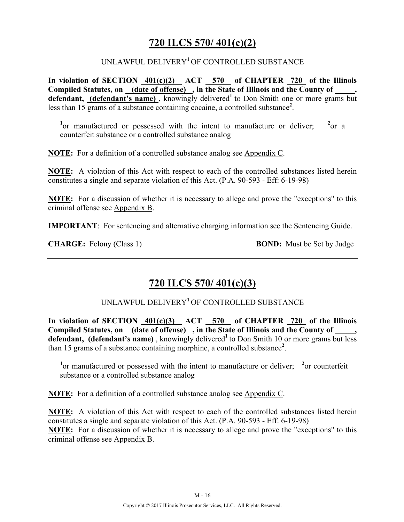## **720 ILCS 570/ 401(c)(2)**

#### UNLAWFUL DELIVERY**<sup>1</sup>**OF CONTROLLED SUBSTANCE

**In violation of SECTION 401(c)(2) ACT 570 of CHAPTER 720 of the Illinois Compiled Statutes, on (date of offense) , in the State of Illinois and the County of \_\_\_\_\_, defendant, (defendant's name)** , knowingly delivered**<sup>1</sup>**to Don Smith one or more grams but less than 15 grams of a substance containing cocaine, a controlled substance**<sup>2</sup>** .

<sup>1</sup> or manufactured or possessed with the intent to manufacture or deliver;  $^{2}$ or a counterfeit substance or a controlled substance analog

**NOTE:** For a definition of a controlled substance analog see Appendix C.

**NOTE:** A violation of this Act with respect to each of the controlled substances listed herein constitutes a single and separate violation of this Act. (P.A. 90-593 - Eff: 6-19-98)

**NOTE:** For a discussion of whether it is necessary to allege and prove the "exceptions" to this criminal offense see Appendix B.

**IMPORTANT**: For sentencing and alternative charging information see the Sentencing Guide.

**CHARGE:** Felony (Class 1) **BOND:** Must be Set by Judge

## **720 ILCS 570/ 401(c)(3)**

UNLAWFUL DELIVERY**<sup>1</sup>**OF CONTROLLED SUBSTANCE

**In violation of SECTION 401(c)(3) ACT 570 of CHAPTER 720 of the Illinois Compiled Statutes, on (date of offense) , in the State of Illinois and the County of \_\_\_\_\_,**  defendant, (defendant's name), knowingly delivered<sup>1</sup> to Don Smith 10 or more grams but less than 15 grams of a substance containing morphine, a controlled substance**<sup>2</sup>** .

<sup>1</sup> or manufactured or possessed with the intent to manufacture or deliver; <sup>2</sup> or counterfeit substance or a controlled substance analog

**NOTE:** For a definition of a controlled substance analog see Appendix C.

**NOTE:** A violation of this Act with respect to each of the controlled substances listed herein constitutes a single and separate violation of this Act. (P.A. 90-593 - Eff: 6-19-98) **NOTE:** For a discussion of whether it is necessary to allege and prove the "exceptions" to this criminal offense see Appendix B.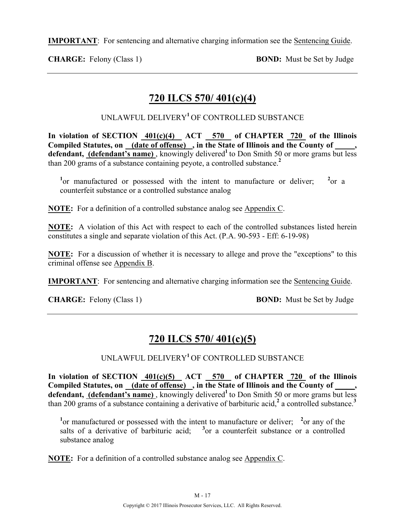**IMPORTANT**: For sentencing and alternative charging information see the Sentencing Guide.

**CHARGE:** Felony (Class 1) **BOND:** Must be Set by Judge

# **720 ILCS 570/ 401(c)(4)**

UNLAWFUL DELIVERY**<sup>1</sup>**OF CONTROLLED SUBSTANCE

In violation of SECTION  $401(c)(4)$  ACT 570 of CHAPTER 720 of the Illinois **Compiled Statutes, on (date of offense) , in the State of Illinois and the County of \_\_\_\_\_,**  defendant, (defendant's name), knowingly delivered<sup>1</sup> to Don Smith 50 or more grams but less than 200 grams of a substance containing peyote, a controlled substance.**<sup>2</sup>**

<sup>1</sup> or manufactured or possessed with the intent to manufacture or deliver; <sup>2</sup>  $^{2}$ or a counterfeit substance or a controlled substance analog

**NOTE:** For a definition of a controlled substance analog see Appendix C.

**NOTE:** A violation of this Act with respect to each of the controlled substances listed herein constitutes a single and separate violation of this Act. (P.A. 90-593 - Eff: 6-19-98)

**NOTE:** For a discussion of whether it is necessary to allege and prove the "exceptions" to this criminal offense see Appendix B.

**IMPORTANT**: For sentencing and alternative charging information see the Sentencing Guide.

**CHARGE:** Felony (Class 1) **BOND:** Must be Set by Judge

# **720 ILCS 570/ 401(c)(5)**

UNLAWFUL DELIVERY**<sup>1</sup>**OF CONTROLLED SUBSTANCE

**In violation of SECTION 401(c)(5) ACT 570 of CHAPTER 720 of the Illinois**  Compiled Statutes, on (date of offense), in the State of Illinois and the County of defendant, (defendant's name), knowingly delivered<sup>1</sup> to Don Smith 50 or more grams but less than 200 grams of a substance containing a derivative of barbituric acid,**<sup>2</sup>** a controlled substance.**<sup>3</sup>**

<sup>1</sup> or manufactured or possessed with the intent to manufacture or deliver; <sup>2</sup> or any of the salts of a derivative of barbituric acid;  $3$  or a counterfeit substance or a controlled substance analog

**NOTE:** For a definition of a controlled substance analog see Appendix C.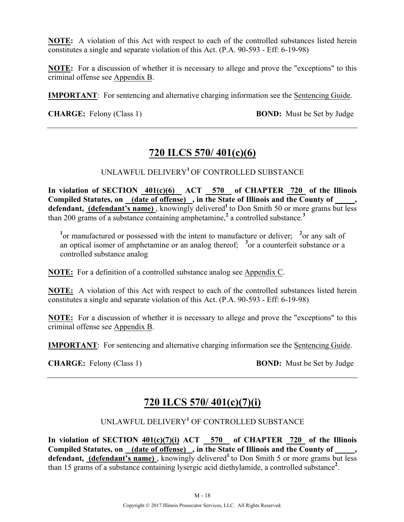**NOTE:** A violation of this Act with respect to each of the controlled substances listed herein constitutes a single and separate violation of this Act. (P.A. 90-593 - Eff: 6-19-98)

**NOTE:** For a discussion of whether it is necessary to allege and prove the "exceptions" to this criminal offense see Appendix B.

**IMPORTANT**: For sentencing and alternative charging information see the Sentencing Guide.

**CHARGE:** Felony (Class 1) **BOND:** Must be Set by Judge

## **720 ILCS 570/ 401(c)(6)**

UNLAWFUL DELIVERY**<sup>1</sup>**OF CONTROLLED SUBSTANCE

In violation of SECTION  $401(c)(6)$  ACT 570 of CHAPTER 720 of the Illinois **Compiled Statutes, on (date of offense) , in the State of Illinois and the County of \_\_\_\_\_,**  defendant, (defendant's name), knowingly delivered<sup>1</sup> to Don Smith 50 or more grams but less than 200 grams of a substance containing amphetamine,**<sup>2</sup>** a controlled substance.**<sup>3</sup>**

<sup>1</sup> or manufactured or possessed with the intent to manufacture or deliver; <sup>2</sup> or any salt of an optical isomer of amphetamine or an analog thereof;  $3$  or a counterfeit substance or a controlled substance analog

**NOTE:** For a definition of a controlled substance analog see Appendix C.

**NOTE:** A violation of this Act with respect to each of the controlled substances listed herein constitutes a single and separate violation of this Act. (P.A. 90-593 - Eff: 6-19-98)

**NOTE:** For a discussion of whether it is necessary to allege and prove the "exceptions" to this criminal offense see Appendix B.

**IMPORTANT**: For sentencing and alternative charging information see the Sentencing Guide.

**CHARGE:** Felony (Class 1) **BOND:** Must be Set by Judge

## **720 ILCS 570/ 401(c)(7)(i)**

UNLAWFUL DELIVERY**<sup>1</sup>** OF CONTROLLED SUBSTANCE

**In violation of SECTION 401(c)(7)(i) ACT 570 of CHAPTER 720 of the Illinois**  Compiled Statutes, on <u>(date of offense)</u>, in the State of Illinois and the County of defendant, (defendant's name), knowingly delivered<sup>1</sup> to Don Smith 5 or more grams but less than 15 grams of a substance containing lysergic acid diethylamide, a controlled substance**<sup>2</sup>** .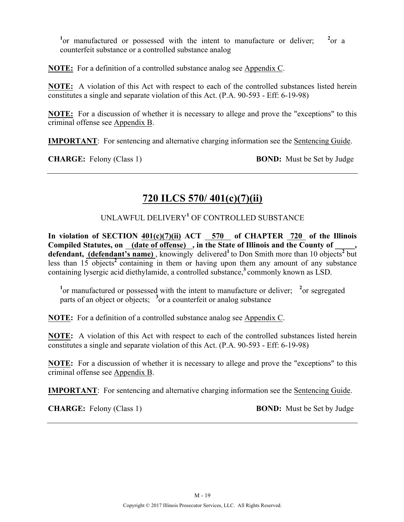<sup>1</sup> or manufactured or possessed with the intent to manufacture or deliver;  $^{2}$ or a counterfeit substance or a controlled substance analog

**NOTE:** For a definition of a controlled substance analog see Appendix C.

**NOTE:** A violation of this Act with respect to each of the controlled substances listed herein constitutes a single and separate violation of this Act. (P.A. 90-593 - Eff: 6-19-98)

**NOTE:** For a discussion of whether it is necessary to allege and prove the "exceptions" to this criminal offense see Appendix B.

**IMPORTANT**: For sentencing and alternative charging information see the Sentencing Guide.

**CHARGE:** Felony (Class 1) **BOND:** Must be Set by Judge

# **720 ILCS 570/ 401(c)(7)(ii)**

UNLAWFUL DELIVERY**<sup>1</sup>** OF CONTROLLED SUBSTANCE

In violation of SECTION  $401(c)(7)(ii)$  ACT 570 of CHAPTER 720 of the Illinois Compiled Statutes, on \_(date of offense) , in the State of Illinois and the County of \_ **defendant, (defendant's name)** , knowingly delivered**<sup>1</sup>**to Don Smith more than 10 objects**<sup>2</sup>** but less than  $15$  objects<sup>2</sup> containing in them or having upon them any amount of any substance containing lysergic acid diethylamide, a controlled substance,**<sup>3</sup>**commonly known as LSD.

<sup>1</sup> or manufactured or possessed with the intent to manufacture or deliver; <sup>2</sup> or segregated parts of an object or objects; <sup>3</sup> or a counterfeit or analog substance

**NOTE:** For a definition of a controlled substance analog see Appendix C.

**NOTE:** A violation of this Act with respect to each of the controlled substances listed herein constitutes a single and separate violation of this Act. (P.A. 90-593 - Eff: 6-19-98)

**NOTE:** For a discussion of whether it is necessary to allege and prove the "exceptions" to this criminal offense see Appendix B.

**IMPORTANT**: For sentencing and alternative charging information see the Sentencing Guide.

**CHARGE:** Felony (Class 1) **BOND:** Must be Set by Judge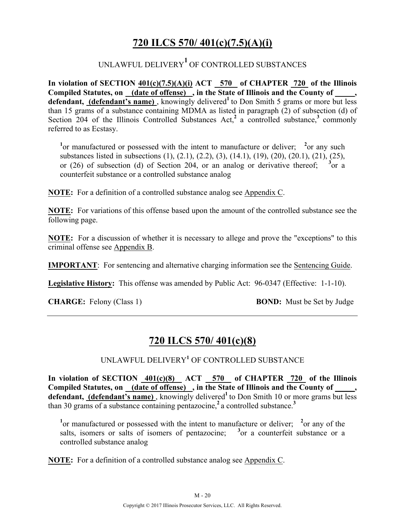# **720 ILCS 570/ 401(c)(7.5)(A)(i)**

# UNLAWFUL DELIVERY**<sup>1</sup>** OF CONTROLLED SUBSTANCES

**In violation of SECTION 401(c)(7.5)(A)(i) ACT 570 of CHAPTER 720 of the Illinois**  Compiled Statutes, on (date of offense), in the State of Illinois and the County of, defendant, (defendant's name), knowingly delivered<sup>1</sup> to Don Smith 5 grams or more but less than 15 grams of a substance containing MDMA as listed in paragraph (2) of subsection (d) of Section 204 of the Illinois Controlled Substances Act,<sup>2</sup> a controlled substance,<sup>3</sup> commonly referred to as Ecstasy.

<sup>1</sup> or manufactured or possessed with the intent to manufacture or deliver; <sup>2</sup> or any such substances listed in subsections (1), (2.1), (2.2), (3), (14.1), (19), (20), (20.1), (21), (25), or (26) of subsection (d) of Section 204, or an analog or derivative thereof; <sup>3</sup> or a counterfeit substance or a controlled substance analog

**NOTE:** For a definition of a controlled substance analog see Appendix C.

**NOTE:** For variations of this offense based upon the amount of the controlled substance see the following page.

**NOTE:** For a discussion of whether it is necessary to allege and prove the "exceptions" to this criminal offense see Appendix B.

**IMPORTANT**: For sentencing and alternative charging information see the Sentencing Guide.

**Legislative History:** This offense was amended by Public Act: 96-0347 (Effective: 1-1-10).

**CHARGE:** Felony (Class 1) **BOND:** Must be Set by Judge

## **720 ILCS 570/ 401(c)(8)**

UNLAWFUL DELIVERY**<sup>1</sup>** OF CONTROLLED SUBSTANCE

In violation of SECTION  $401(c)(8)$  ACT 570 of CHAPTER 720 of the Illinois Compiled Statutes, on <u>(date of offense)</u>, in the State of Illinois and the County of \_\_\_\_, defendant, (defendant's name), knowingly delivered<sup>1</sup> to Don Smith 10 or more grams but less than 30 grams of a substance containing pentazocine,**<sup>2</sup>**a controlled substance.**<sup>3</sup>**

<sup>1</sup> or manufactured or possessed with the intent to manufacture or deliver; <sup>2</sup> or any of the salts, isomers or salts of isomers of pentazocine;  $\frac{3}{2}$  or a counterfeit substance or a controlled substance analog

**NOTE:** For a definition of a controlled substance analog see Appendix C.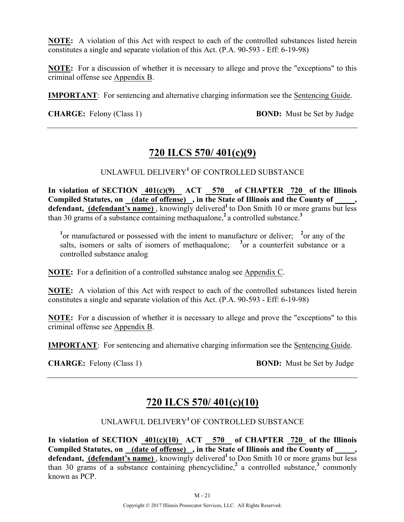**NOTE:** A violation of this Act with respect to each of the controlled substances listed herein constitutes a single and separate violation of this Act. (P.A. 90-593 - Eff: 6-19-98)

**NOTE:** For a discussion of whether it is necessary to allege and prove the "exceptions" to this criminal offense see Appendix B.

**IMPORTANT**: For sentencing and alternative charging information see the Sentencing Guide.

**CHARGE:** Felony (Class 1) **BOND:** Must be Set by Judge

## **720 ILCS 570/ 401(c)(9)**

UNLAWFUL DELIVERY**<sup>1</sup>** OF CONTROLLED SUBSTANCE

**In violation of SECTION 401(c)(9) ACT 570 of CHAPTER 720 of the Illinois Compiled Statutes, on (date of offense) , in the State of Illinois and the County of \_\_\_\_\_,**  defendant, (defendant's name), knowingly delivered<sup>1</sup> to Don Smith 10 or more grams but less than 30 grams of a substance containing methaqualone,**<sup>2</sup>**a controlled substance.**<sup>3</sup>**

<sup>1</sup> or manufactured or possessed with the intent to manufacture or deliver; <sup>2</sup> or any of the salts, isomers or salts of isomers of methaqualone;  $3$  or a counterfeit substance or a controlled substance analog

**NOTE:** For a definition of a controlled substance analog see Appendix C.

**NOTE:** A violation of this Act with respect to each of the controlled substances listed herein constitutes a single and separate violation of this Act. (P.A. 90-593 - Eff: 6-19-98)

**NOTE:** For a discussion of whether it is necessary to allege and prove the "exceptions" to this criminal offense see Appendix B.

**IMPORTANT**: For sentencing and alternative charging information see the Sentencing Guide.

**CHARGE:** Felony (Class 1) **BOND:** Must be Set by Judge

## **720 ILCS 570/ 401(c)(10)**

## UNLAWFUL DELIVERY**<sup>1</sup>**OF CONTROLLED SUBSTANCE

**In violation of SECTION 401(c)(10) ACT 570 of CHAPTER 720 of the Illinois**  Compiled Statutes, on <u>(date of offense)</u>, in the State of Illinois and the County of defendant, (defendant's name), knowingly delivered<sup>1</sup> to Don Smith 10 or more grams but less than 30 grams of a substance containing phencyclidine,<sup>2</sup> a controlled substance,<sup>3</sup> commonly known as PCP.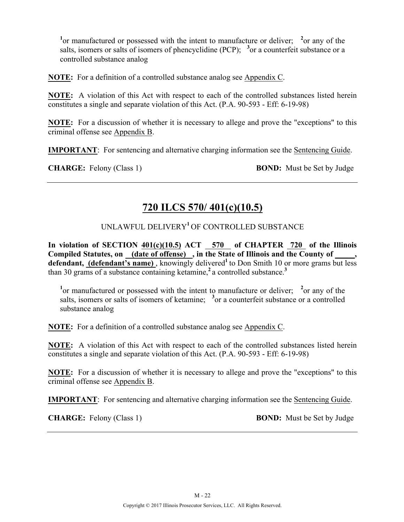<sup>1</sup> or manufactured or possessed with the intent to manufacture or deliver; <sup>2</sup> or any of the salts, isomers or salts of isomers of phencyclidine (PCP);  $3$  or a counterfeit substance or a controlled substance analog

**NOTE:** For a definition of a controlled substance analog see Appendix C.

**NOTE:** A violation of this Act with respect to each of the controlled substances listed herein constitutes a single and separate violation of this Act. (P.A. 90-593 - Eff: 6-19-98)

**NOTE:** For a discussion of whether it is necessary to allege and prove the "exceptions" to this criminal offense see Appendix B.

**IMPORTANT**: For sentencing and alternative charging information see the Sentencing Guide.

**CHARGE:** Felony (Class 1) **BOND:** Must be Set by Judge

## **720 ILCS 570/ 401(c)(10.5)**

#### UNLAWFUL DELIVERY**<sup>1</sup>**OF CONTROLLED SUBSTANCE

**In violation of SECTION 401(c)(10.5) ACT 570 of CHAPTER 720 of the Illinois**  Compiled Statutes, on (date of offense), in the State of Illinois and the County of defendant, (defendant's name), knowingly delivered<sup>1</sup> to Don Smith 10 or more grams but less than 30 grams of a substance containing ketamine,**<sup>2</sup>**a controlled substance.**<sup>3</sup>**

<sup>1</sup> or manufactured or possessed with the intent to manufacture or deliver; <sup>2</sup> or any of the salts, isomers or salts of isomers of ketamine; <sup>3</sup> or a counterfeit substance or a controlled substance analog

**NOTE:** For a definition of a controlled substance analog see Appendix C.

**NOTE:** A violation of this Act with respect to each of the controlled substances listed herein constitutes a single and separate violation of this Act. (P.A. 90-593 - Eff: 6-19-98)

**NOTE:** For a discussion of whether it is necessary to allege and prove the "exceptions" to this criminal offense see Appendix B.

**IMPORTANT**: For sentencing and alternative charging information see the Sentencing Guide.

**CHARGE:** Felony (Class 1) **BOND:** Must be Set by Judge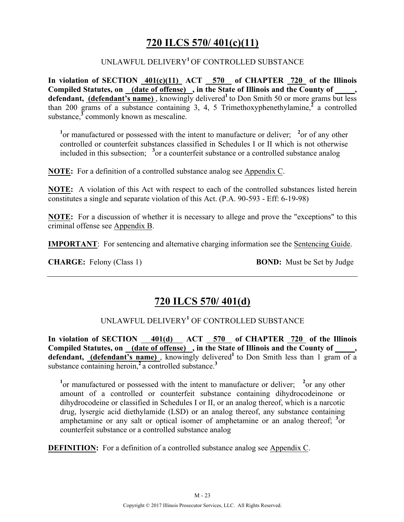# **720 ILCS 570/ 401(c)(11)**

#### UNLAWFUL DELIVERY**<sup>1</sup>**OF CONTROLLED SUBSTANCE

**In violation of SECTION 401(c)(11) ACT 570 of CHAPTER 720 of the Illinois**  Compiled Statutes, on (date of offense), in the State of Illinois and the County of \_\_\_\_, defendant, (defendant's name), knowingly delivered<sup>1</sup> to Don Smith 50 or more grams but less than 200 grams of a substance containing 3, 4, 5 Trimethoxyphenethylamine, $\frac{3}{4}$  a controlled substance,**<sup>3</sup>** commonly known as mescaline.

<sup>1</sup> or manufactured or possessed with the intent to manufacture or deliver; <sup>2</sup> or of any other controlled or counterfeit substances classified in Schedules I or II which is not otherwise included in this subsection; <sup>3</sup> or a counterfeit substance or a controlled substance analog

**NOTE:** For a definition of a controlled substance analog see Appendix C.

**NOTE:** A violation of this Act with respect to each of the controlled substances listed herein constitutes a single and separate violation of this Act. (P.A. 90-593 - Eff: 6-19-98)

**NOTE:** For a discussion of whether it is necessary to allege and prove the "exceptions" to this criminal offense see Appendix B.

**IMPORTANT**: For sentencing and alternative charging information see the Sentencing Guide.

**CHARGE:** Felony (Class 1) **BOND:** Must be Set by Judge

## **720 ILCS 570/ 401(d)**

#### UNLAWFUL DELIVERY**<sup>1</sup>** OF CONTROLLED SUBSTANCE

In violation of SECTION 401(d) ACT 570 of CHAPTER 720 of the Illinois **Compiled Statutes, on (date of offense) , in the State of Illinois and the County of \_\_\_\_\_,**  defendant, (defendant's name), knowingly delivered<sup>1</sup> to Don Smith less than 1 gram of a substance containing heroin,**<sup>2</sup>**a controlled substance.**<sup>3</sup>**

<sup>1</sup> or manufactured or possessed with the intent to manufacture or deliver; <sup>2</sup> or any other amount of a controlled or counterfeit substance containing dihydrocodeinone or dihydrocodeine or classified in Schedules I or II, or an analog thereof, which is a narcotic drug, lysergic acid diethylamide (LSD) or an analog thereof, any substance containing amphetamine or any salt or optical isomer of amphetamine or an analog thereof; <sup>3</sup> or counterfeit substance or a controlled substance analog

**DEFINITION:** For a definition of a controlled substance analog see Appendix C.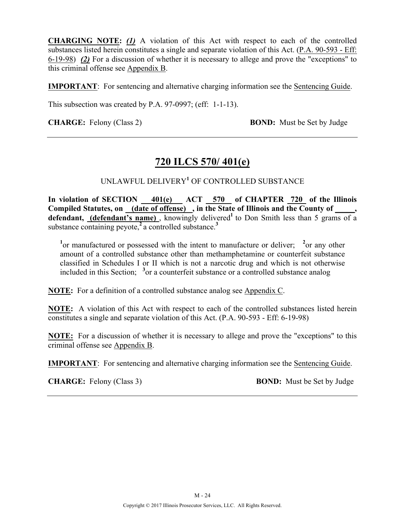**CHARGING NOTE:** *(1)* A violation of this Act with respect to each of the controlled substances listed herein constitutes a single and separate violation of this Act. (P.A. 90-593 - Eff: 6-19-98) *(2)* For a discussion of whether it is necessary to allege and prove the "exceptions" to this criminal offense see Appendix B.

**IMPORTANT**: For sentencing and alternative charging information see the Sentencing Guide.

This subsection was created by P.A. 97-0997; (eff: 1-1-13).

**CHARGE:** Felony (Class 2) **BOND:** Must be Set by Judge

## **720 ILCS 570/ 401(e)**

UNLAWFUL DELIVERY**<sup>1</sup>** OF CONTROLLED SUBSTANCE

**In violation of SECTION 401(e) ACT 570 of CHAPTER 720 of the Illinois**  Compiled Statutes, on (date of offense), in the State of Illinois and the County of \_\_\_\_, defendant, (defendant's name), knowingly delivered<sup>1</sup> to Don Smith less than 5 grams of a substance containing peyote,**<sup>2</sup>**a controlled substance.**<sup>3</sup>**

<sup>1</sup> or manufactured or possessed with the intent to manufacture or deliver; <sup>2</sup> or any other amount of a controlled substance other than methamphetamine or counterfeit substance classified in Schedules I or II which is not a narcotic drug and which is not otherwise included in this Section; **<sup>3</sup>** or a counterfeit substance or a controlled substance analog

**NOTE:** For a definition of a controlled substance analog see Appendix C.

**NOTE:** A violation of this Act with respect to each of the controlled substances listed herein constitutes a single and separate violation of this Act. (P.A. 90-593 - Eff: 6-19-98)

**NOTE:** For a discussion of whether it is necessary to allege and prove the "exceptions" to this criminal offense see Appendix B.

**IMPORTANT**: For sentencing and alternative charging information see the Sentencing Guide.

**CHARGE:** Felony (Class 3) **BOND:** Must be Set by Judge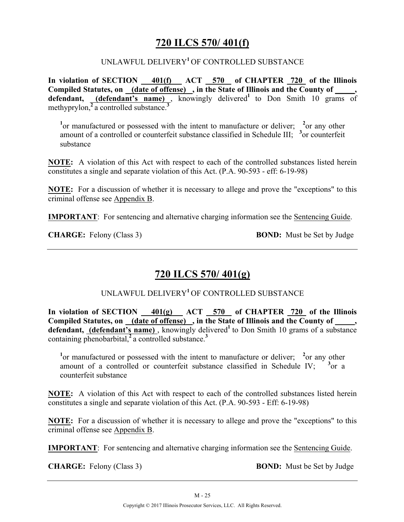## **720 ILCS 570/ 401(f)**

#### UNLAWFUL DELIVERY**<sup>1</sup>**OF CONTROLLED SUBSTANCE

**In violation of SECTION 401(f) ACT 570 of CHAPTER 720 of the Illinois**  Compiled Statutes, on (date of offense), in the State of Illinois and the County of defendant, (defendant's name), knowingly delivered<sup>1</sup> to Don Smith 10 grams of methyprylon,**<sup>2</sup>**a controlled substance.**<sup>3</sup>**

<sup>1</sup> or manufactured or possessed with the intent to manufacture or deliver; <sup>2</sup> or any other amount of a controlled or counterfeit substance classified in Schedule III; <sup>3</sup> or counterfeit substance

**NOTE:** A violation of this Act with respect to each of the controlled substances listed herein constitutes a single and separate violation of this Act. (P.A. 90-593 - eff: 6-19-98)

**NOTE:** For a discussion of whether it is necessary to allege and prove the "exceptions" to this criminal offense see Appendix B.

**IMPORTANT**: For sentencing and alternative charging information see the Sentencing Guide.

**CHARGE:** Felony (Class 3) **BOND:** Must be Set by Judge

## **720 ILCS 570/ 401(g)**

#### UNLAWFUL DELIVERY**<sup>1</sup>**OF CONTROLLED SUBSTANCE

In violation of SECTION 401(g) ACT 570 of CHAPTER 720 of the Illinois **Compiled Statutes, on (date of offense) , in the State of Illinois and the County of \_\_\_\_\_,**  defendant, (defendant's name), knowingly delivered<sup>1</sup> to Don Smith 10 grams of a substance containing phenobarbital,**<sup>2</sup>**a controlled substance.**<sup>3</sup>**

<sup>1</sup> or manufactured or possessed with the intent to manufacture or deliver; <sup>2</sup> or any other amount of a controlled or counterfeit substance classified in Schedule IV; <sup>3</sup> or a counterfeit substance

**NOTE:** A violation of this Act with respect to each of the controlled substances listed herein constitutes a single and separate violation of this Act. (P.A. 90-593 - Eff: 6-19-98)

**NOTE:** For a discussion of whether it is necessary to allege and prove the "exceptions" to this criminal offense see Appendix B.

**IMPORTANT**: For sentencing and alternative charging information see the Sentencing Guide.

**CHARGE:** Felony (Class 3) **BOND:** Must be Set by Judge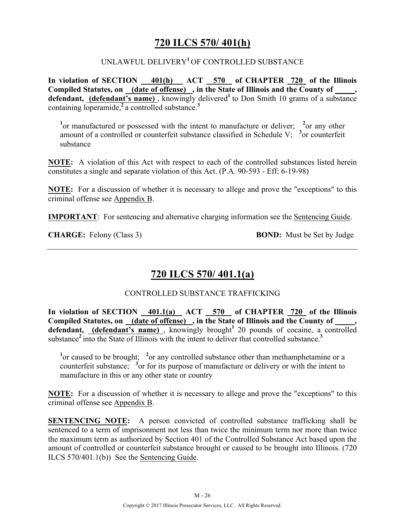## **720 ILCS 570/ 401(h)**

#### UNLAWFUL DELIVERY**<sup>1</sup>**OF CONTROLLED SUBSTANCE

**In violation of SECTION 401(h) ACT 570 of CHAPTER 720 of the Illinois**  Compiled Statutes, on (date of offense), in the State of Illinois and the County of, defendant, (defendant's name), knowingly delivered<sup>1</sup> to Don Smith 10 grams of a substance containing loperamide,**<sup>2</sup>**a controlled substance.**<sup>3</sup>**

<sup>1</sup> or manufactured or possessed with the intent to manufacture or deliver; <sup>2</sup> or any other amount of a controlled or counterfeit substance classified in Schedule V;  $\frac{3}{2}$  or counterfeit substance

**NOTE:** A violation of this Act with respect to each of the controlled substances listed herein constitutes a single and separate violation of this Act. (P.A. 90-593 - Eff: 6-19-98)

**NOTE:** For a discussion of whether it is necessary to allege and prove the "exceptions" to this criminal offense see Appendix B.

**IMPORTANT**: For sentencing and alternative charging information see the Sentencing Guide.

**CHARGE:** Felony (Class 3) **BOND:** Must be Set by Judge

# **720 ILCS 570/ 401.1(a)**

#### CONTROLLED SUBSTANCE TRAFFICKING

**In violation of SECTION 401.1(a) ACT 570 of CHAPTER 720 of the Illinois**  Compiled Statutes, on (date of offense), in the State of Illinois and the County of **defendant, (defendant's name)** , knowingly brought**<sup>1</sup>**20 pounds of cocaine, a controlled substance**<sup>2</sup>**into the State of Illinois with the intent to deliver that controlled substance.**<sup>3</sup>**

<sup>1</sup> or caused to be brought; <sup>2</sup> or any controlled substance other than methamphetamine or a counterfeit substance; <sup>3</sup> or for its purpose of manufacture or delivery or with the intent to manufacture in this or any other state or country

**NOTE:** For a discussion of whether it is necessary to allege and prove the "exceptions" to this criminal offense see Appendix B.

**SENTENCING NOTE:** A person convicted of controlled substance trafficking shall be sentenced to a term of imprisonment not less than twice the minimum term nor more than twice the maximum term as authorized by Section 401 of the Controlled Substance Act based upon the amount of controlled or counterfeit substance brought or caused to be brought into Illinois. (720 ILCS 570/401.1(b)) See the Sentencing Guide.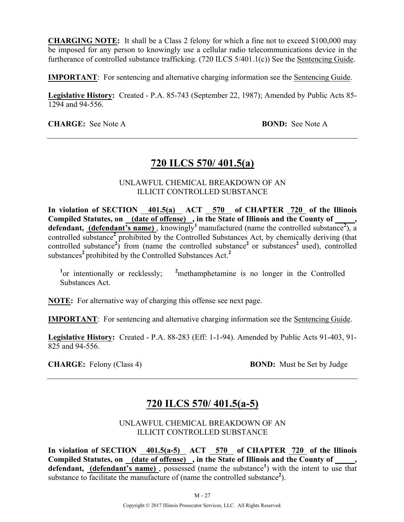**CHARGING NOTE:** It shall be a Class 2 felony for which a fine not to exceed \$100,000 may be imposed for any person to knowingly use a cellular radio telecommunications device in the furtherance of controlled substance trafficking. (720 ILCS 5/401.1(c)) See the Sentencing Guide.

**IMPORTANT**: For sentencing and alternative charging information see the Sentencing Guide.

**Legislative History:** Created - P.A. 85-743 (September 22, 1987); Amended by Public Acts 85- 1294 and 94-556.

**CHARGE:** See Note A **BOND:** See Note A

## **720 ILCS 570/ 401.5(a)**

UNLAWFUL CHEMICAL BREAKDOWN OF AN ILLICIT CONTROLLED SUBSTANCE

In violation of SECTION 401.5(a) ACT 570 of CHAPTER 720 of the Illinois Compiled Statutes, on (date of offense), in the State of Illinois and the County of defendant, (defendant's name), knowingly<sup>1</sup> manufactured (name the controlled substance<sup>2</sup>), a controlled substance<sup>2</sup> prohibited by the Controlled Substances Act, by chemically deriving (that controlled substance<sup>2</sup>) from (name the controlled substance<sup>2</sup> or substances<sup>2</sup> used), controlled substances<sup>2</sup> prohibited by the Controlled Substances Act.<sup>2</sup>

<sup>1</sup><sub>or</sub> intentionally or recklessly; <sup>2</sup> <sup>2</sup>methamphetamine is no longer in the Controlled Substances Act.

**NOTE:** For alternative way of charging this offense see next page.

**IMPORTANT**: For sentencing and alternative charging information see the Sentencing Guide.

**Legislative History:** Created - P.A. 88-283 (Eff: 1-1-94). Amended by Public Acts 91-403, 91- 825 and 94-556.

**CHARGE:** Felony (Class 4) **BOND:** Must be Set by Judge

## **720 ILCS 570/ 401.5(a-5)**

UNLAWFUL CHEMICAL BREAKDOWN OF AN ILLICIT CONTROLLED SUBSTANCE

In violation of SECTION 401.5(a-5) ACT 570 of CHAPTER 720 of the Illinois Compiled Statutes, on (date of offense), in the State of Illinois and the County of defendant, (defendant's name), possessed (name the substance<sup>1</sup>) with the intent to use that substance to facilitate the manufacture of (name the controlled substance<sup>2</sup>).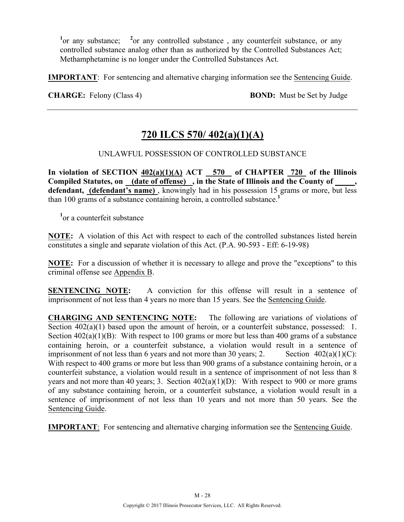<sup>1</sup> or any substance; <sup>2</sup> <sup>2</sup> or any controlled substance, any counterfeit substance, or any controlled substance analog other than as authorized by the Controlled Substances Act; Methamphetamine is no longer under the Controlled Substances Act.

**IMPORTANT**: For sentencing and alternative charging information see the Sentencing Guide.

**CHARGE:** Felony (Class 4) **BOND:** Must be Set by Judge

# **720 ILCS 570/ 402(a)(1)(A)**

#### UNLAWFUL POSSESSION OF CONTROLLED SUBSTANCE

In violation of SECTION  $402(a)(1)(A)$  ACT 570 of CHAPTER 720 of the Illinois **Compiled Statutes, on (date of offense) , in the State of Illinois and the County of \_\_\_\_\_, defendant, (defendant's name)** , knowingly had in his possession 15 grams or more, but less than 100 grams of a substance containing heroin, a controlled substance.**<sup>1</sup>**

**1** or a counterfeit substance

**NOTE:** A violation of this Act with respect to each of the controlled substances listed herein constitutes a single and separate violation of this Act. (P.A. 90-593 - Eff: 6-19-98)

**NOTE:** For a discussion of whether it is necessary to allege and prove the "exceptions" to this criminal offense see Appendix B.

**SENTENCING NOTE:** A conviction for this offense will result in a sentence of imprisonment of not less than 4 years no more than 15 years. See the Sentencing Guide.

**CHARGING AND SENTENCING NOTE:** The following are variations of violations of Section  $402(a)(1)$  based upon the amount of heroin, or a counterfeit substance, possessed: 1. Section  $402(a)(1)(B)$ : With respect to 100 grams or more but less than 400 grams of a substance containing heroin, or a counterfeit substance, a violation would result in a sentence of imprisonment of not less than 6 years and not more than 30 years; 2. Section  $402(a)(1)(C)$ : With respect to 400 grams or more but less than 900 grams of a substance containing heroin, or a counterfeit substance, a violation would result in a sentence of imprisonment of not less than 8 years and not more than 40 years; 3. Section  $402(a)(1)(D)$ : With respect to 900 or more grams of any substance containing heroin, or a counterfeit substance, a violation would result in a sentence of imprisonment of not less than 10 years and not more than 50 years. See the Sentencing Guide.

**IMPORTANT**: For sentencing and alternative charging information see the Sentencing Guide.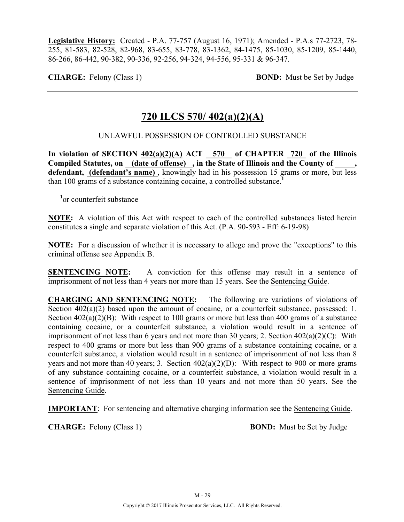**Legislative History:** Created - P.A. 77-757 (August 16, 1971); Amended - P.A.s 77-2723, 78- 255, 81-583, 82-528, 82-968, 83-655, 83-778, 83-1362, 84-1475, 85-1030, 85-1209, 85-1440, 86-266, 86-442, 90-382, 90-336, 92-256, 94-324, 94-556, 95-331 & 96-347.

**CHARGE:** Felony (Class 1) **BOND:** Must be Set by Judge

## **720 ILCS 570/ 402(a)(2)(A)**

#### UNLAWFUL POSSESSION OF CONTROLLED SUBSTANCE

In violation of SECTION  $402(a)(2)(A)$  ACT  $-570$  of CHAPTER 720 of the Illinois Compiled Statutes, on (date of offense), in the State of Illinois and the County of defendant, *(defendant's name)*, knowingly had in his possession 15 grams or more, but less than 100 grams of a substance containing cocaine, a controlled substance.**<sup>1</sup>**

**1** or counterfeit substance

**NOTE:** A violation of this Act with respect to each of the controlled substances listed herein constitutes a single and separate violation of this Act. (P.A. 90-593 - Eff: 6-19-98)

**NOTE:** For a discussion of whether it is necessary to allege and prove the "exceptions" to this criminal offense see Appendix B.

**SENTENCING NOTE:** A conviction for this offense may result in a sentence of imprisonment of not less than 4 years nor more than 15 years. See the Sentencing Guide.

**CHARGING AND SENTENCING NOTE:** The following are variations of violations of Section  $402(a)(2)$  based upon the amount of cocaine, or a counterfeit substance, possessed: 1. Section  $402(a)(2)(B)$ : With respect to 100 grams or more but less than 400 grams of a substance containing cocaine, or a counterfeit substance, a violation would result in a sentence of imprisonment of not less than 6 years and not more than 30 years; 2. Section 402(a)(2)(C): With respect to 400 grams or more but less than 900 grams of a substance containing cocaine, or a counterfeit substance, a violation would result in a sentence of imprisonment of not less than 8 years and not more than 40 years; 3. Section  $402(a)(2)(D)$ : With respect to 900 or more grams of any substance containing cocaine, or a counterfeit substance, a violation would result in a sentence of imprisonment of not less than 10 years and not more than 50 years. See the Sentencing Guide.

**IMPORTANT**: For sentencing and alternative charging information see the Sentencing Guide.

**CHARGE:** Felony (Class 1) **BOND:** Must be Set by Judge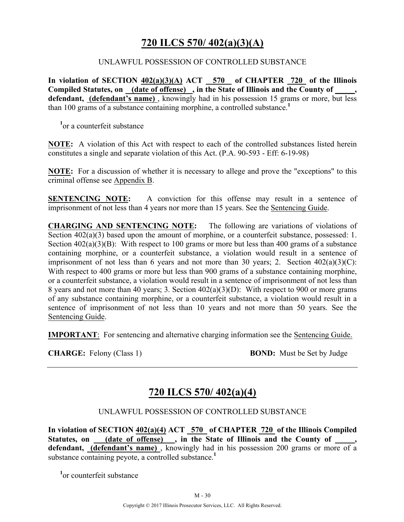## **720 ILCS 570/ 402(a)(3)(A)**

#### UNLAWFUL POSSESSION OF CONTROLLED SUBSTANCE

**In violation of SECTION 402(a)(3)(A) ACT 570 of CHAPTER 720 of the Illinois**  Compiled Statutes, on <u>(date of offense)</u>, in the State of Illinois and the County of defendant, (defendant's name), knowingly had in his possession 15 grams or more, but less than 100 grams of a substance containing morphine, a controlled substance.**<sup>1</sup>**

**1** or a counterfeit substance

**NOTE:** A violation of this Act with respect to each of the controlled substances listed herein constitutes a single and separate violation of this Act. (P.A. 90-593 - Eff: 6-19-98)

**NOTE:** For a discussion of whether it is necessary to allege and prove the "exceptions" to this criminal offense see Appendix B.

**SENTENCING NOTE:** A conviction for this offense may result in a sentence of imprisonment of not less than 4 years nor more than 15 years. See the Sentencing Guide.

**CHARGING AND SENTENCING NOTE:** The following are variations of violations of Section  $402(a)(3)$  based upon the amount of morphine, or a counterfeit substance, possessed: 1. Section  $402(a)(3)(B)$ : With respect to 100 grams or more but less than 400 grams of a substance containing morphine, or a counterfeit substance, a violation would result in a sentence of imprisonment of not less than 6 years and not more than 30 years; 2. Section  $402(a)(3)(C)$ : With respect to 400 grams or more but less than 900 grams of a substance containing morphine, or a counterfeit substance, a violation would result in a sentence of imprisonment of not less than 8 years and not more than 40 years; 3. Section 402(a)(3)(D): With respect to 900 or more grams of any substance containing morphine, or a counterfeit substance, a violation would result in a sentence of imprisonment of not less than 10 years and not more than 50 years. See the Sentencing Guide.

**IMPORTANT**: For sentencing and alternative charging information see the Sentencing Guide.

**CHARGE:** Felony (Class 1) **BOND:** Must be Set by Judge

## **720 ILCS 570/ 402(a)(4)**

UNLAWFUL POSSESSION OF CONTROLLED SUBSTANCE

**In violation of SECTION 402(a)(4) ACT 570 of CHAPTER 720 of the Illinois Compiled**  Statutes, on (date of offense), in the State of Illinois and the County of defendant, (defendant's name), knowingly had in his possession 200 grams or more of a substance containing peyote, a controlled substance.<sup>1</sup>

**1** or counterfeit substance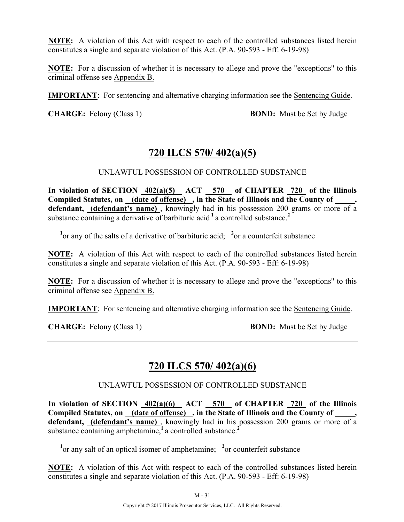**NOTE:** A violation of this Act with respect to each of the controlled substances listed herein constitutes a single and separate violation of this Act. (P.A. 90-593 - Eff: 6-19-98)

**NOTE:** For a discussion of whether it is necessary to allege and prove the "exceptions" to this criminal offense see Appendix B.

**IMPORTANT**: For sentencing and alternative charging information see the Sentencing Guide.

**CHARGE:** Felony (Class 1) **BOND:** Must be Set by Judge

## **720 ILCS 570/ 402(a)(5)**

UNLAWFUL POSSESSION OF CONTROLLED SUBSTANCE

In violation of SECTION  $402(a)(5)$  ACT 570 of CHAPTER 720 of the Illinois **Compiled Statutes, on (date of offense) , in the State of Illinois and the County of \_\_\_\_\_, defendant, (defendant's name)** , knowingly had in his possession 200 grams or more of a substance containing a derivative of barbituric acid <sup>1</sup> a controlled substance.<sup>2</sup>

<sup>1</sup> or any of the salts of a derivative of barbituric acid; <sup>2</sup> or a counterfeit substance

**NOTE:** A violation of this Act with respect to each of the controlled substances listed herein constitutes a single and separate violation of this Act. (P.A. 90-593 - Eff: 6-19-98)

**NOTE:** For a discussion of whether it is necessary to allege and prove the "exceptions" to this criminal offense see Appendix B.

**IMPORTANT**: For sentencing and alternative charging information see the Sentencing Guide.

**CHARGE:** Felony (Class 1) **BOND:** Must be Set by Judge

## **720 ILCS 570/ 402(a)(6)**

UNLAWFUL POSSESSION OF CONTROLLED SUBSTANCE

In violation of SECTION  $402(a)(6)$  ACT 570 of CHAPTER 720 of the Illinois **Compiled Statutes, on (date of offense) , in the State of Illinois and the County of \_\_\_\_\_,**  defendant, (defendant's name), knowingly had in his possession 200 grams or more of a substance containing amphetamine,**<sup>1</sup>**a controlled substance.**<sup>2</sup>**

<sup>1</sup><sup>or</sup> any salt of an optical isomer of amphetamine; <sup>2</sup> or counterfeit substance

**NOTE:** A violation of this Act with respect to each of the controlled substances listed herein constitutes a single and separate violation of this Act. (P.A. 90-593 - Eff: 6-19-98)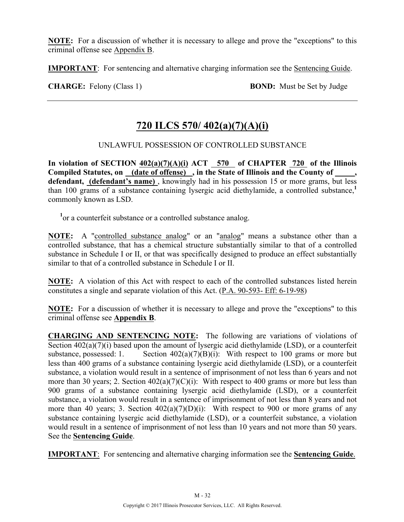**NOTE:** For a discussion of whether it is necessary to allege and prove the "exceptions" to this criminal offense see Appendix B.

**IMPORTANT**: For sentencing and alternative charging information see the Sentencing Guide.

**CHARGE:** Felony (Class 1) **BOND:** Must be Set by Judge

# **720 ILCS 570/ 402(a)(7)(A)(i)**

#### UNLAWFUL POSSESSION OF CONTROLLED SUBSTANCE

In violation of SECTION  $402(a)(7)(A)(i)$  ACT 570 of CHAPTER 720 of the Illinois Compiled Statutes, on (date of offense), in the State of Illinois and the County of defendant, (defendant's name), knowingly had in his possession 15 or more grams, but less than 100 grams of a substance containing lysergic acid diethylamide, a controlled substance,**<sup>1</sup>** commonly known as LSD.

<sup>1</sup> or a counterfeit substance or a controlled substance analog.

NOTE: A "controlled substance analog" or an "analog" means a substance other than a controlled substance, that has a chemical structure substantially similar to that of a controlled substance in Schedule I or II, or that was specifically designed to produce an effect substantially similar to that of a controlled substance in Schedule I or II.

**NOTE:** A violation of this Act with respect to each of the controlled substances listed herein constitutes a single and separate violation of this Act. (P.A. 90-593- Eff: 6-19-98)

**NOTE:** For a discussion of whether it is necessary to allege and prove the "exceptions" to this criminal offense see **Appendix B**.

**CHARGING AND SENTENCING NOTE:** The following are variations of violations of Section  $402(a)(7)(i)$  based upon the amount of lysergic acid diethylamide (LSD), or a counterfeit substance, possessed: 1. Section  $402(a)(7)(B)(i)$ : With respect to 100 grams or more but less than 400 grams of a substance containing lysergic acid diethylamide (LSD), or a counterfeit substance, a violation would result in a sentence of imprisonment of not less than 6 years and not more than 30 years; 2. Section  $402(a)(7)(C)(i)$ : With respect to 400 grams or more but less than 900 grams of a substance containing lysergic acid diethylamide (LSD), or a counterfeit substance, a violation would result in a sentence of imprisonment of not less than 8 years and not more than 40 years; 3. Section  $402(a)(7)(D)(i)$ : With respect to 900 or more grams of any substance containing lysergic acid diethylamide (LSD), or a counterfeit substance, a violation would result in a sentence of imprisonment of not less than 10 years and not more than 50 years. See the **Sentencing Guide**.

**IMPORTANT**: For sentencing and alternative charging information see the **Sentencing Guide**.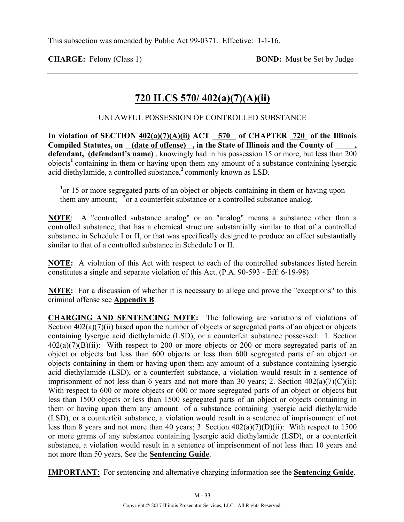**CHARGE:** Felony (Class 1) **BOND:** Must be Set by Judge

## **720 ILCS 570/ 402(a)(7)(A)(ii)**

UNLAWFUL POSSESSION OF CONTROLLED SUBSTANCE

In violation of SECTION  $402(a)(7)(A)(ii)$  ACT 570 of CHAPTER 720 of the Illinois **Compiled Statutes, on (date of offense) , in the State of Illinois and the County of \_\_\_\_\_, defendant, (defendant's name)** , knowingly had in his possession 15 or more, but less than 200 objects<sup>1</sup> containing in them or having upon them any amount of a substance containing lysergic acid diethylamide, a controlled substance,**<sup>2</sup>**commonly known as LSD.

<sup>1</sup> or 15 or more segregated parts of an object or objects containing in them or having upon them any amount; <sup>2</sup> or a counterfeit substance or a controlled substance analog.

**NOTE**: A "controlled substance analog" or an "analog" means a substance other than a controlled substance, that has a chemical structure substantially similar to that of a controlled substance in Schedule I or II, or that was specifically designed to produce an effect substantially similar to that of a controlled substance in Schedule I or II.

**NOTE:** A violation of this Act with respect to each of the controlled substances listed herein constitutes a single and separate violation of this Act. (P.A. 90-593 - Eff: 6-19-98)

**NOTE:** For a discussion of whether it is necessary to allege and prove the "exceptions" to this criminal offense see **Appendix B**.

**CHARGING AND SENTENCING NOTE:** The following are variations of violations of Section  $402(a)(7)(ii)$  based upon the number of objects or segregated parts of an object or objects containing lysergic acid diethylamide (LSD), or a counterfeit substance possessed: 1. Section  $402(a)(7)(B)(ii)$ : With respect to 200 or more objects or 200 or more segregated parts of an object or objects but less than 600 objects or less than 600 segregated parts of an object or objects containing in them or having upon them any amount of a substance containing lysergic acid diethylamide (LSD), or a counterfeit substance, a violation would result in a sentence of imprisonment of not less than 6 years and not more than 30 years; 2. Section  $402(a)(7)(C)(ii)$ : With respect to 600 or more objects or 600 or more segregated parts of an object or objects but less than 1500 objects or less than 1500 segregated parts of an object or objects containing in them or having upon them any amount of a substance containing lysergic acid diethylamide (LSD), or a counterfeit substance, a violation would result in a sentence of imprisonment of not less than 8 years and not more than 40 years; 3. Section 402(a)(7)(D)(ii): With respect to 1500 or more grams of any substance containing lysergic acid diethylamide (LSD), or a counterfeit substance, a violation would result in a sentence of imprisonment of not less than 10 years and not more than 50 years. See the **Sentencing Guide**.

**IMPORTANT**: For sentencing and alternative charging information see the **Sentencing Guide**.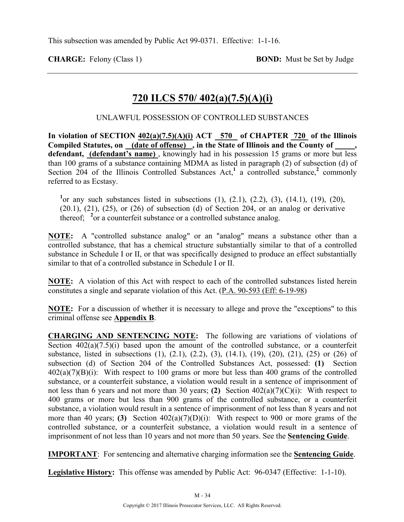**CHARGE:** Felony (Class 1) **BOND:** Must be Set by Judge

## **720 ILCS 570/ 402(a)(7.5)(A)(i)**

UNLAWFUL POSSESSION OF CONTROLLED SUBSTANCES

In violation of SECTION  $402(a)(7.5)(A)(i)$  ACT  $-570$  of CHAPTER  $-720$  of the Illinois **Compiled Statutes, on (date of offense) , in the State of Illinois and the County of \_\_\_\_\_, defendant, (defendant's name)** , knowingly had in his possession 15 grams or more but less than 100 grams of a substance containing MDMA as listed in paragraph (2) of subsection (d) of Section  $204$  of the Illinois Controlled Substances Act,<sup>1</sup> a controlled substance,<sup>2</sup> commonly referred to as Ecstasy.

<sup>1</sup> or any such substances listed in subsections  $(1)$ ,  $(2.1)$ ,  $(2.2)$ ,  $(3)$ ,  $(14.1)$ ,  $(19)$ ,  $(20)$ ,  $(20.1)$ ,  $(21)$ ,  $(25)$ , or  $(26)$  of subsection  $(d)$  of Section 204, or an analog or derivative thereof; <sup>2</sup> or a counterfeit substance or a controlled substance analog.

**NOTE:** A "controlled substance analog" or an "analog" means a substance other than a controlled substance, that has a chemical structure substantially similar to that of a controlled substance in Schedule I or II, or that was specifically designed to produce an effect substantially similar to that of a controlled substance in Schedule I or II.

**NOTE:** A violation of this Act with respect to each of the controlled substances listed herein constitutes a single and separate violation of this Act. (P.A. 90-593 (Eff: 6-19-98)

**NOTE:** For a discussion of whether it is necessary to allege and prove the "exceptions" to this criminal offense see **Appendix B**.

**CHARGING AND SENTENCING NOTE:** The following are variations of violations of Section  $402(a)(7.5)(i)$  based upon the amount of the controlled substance, or a counterfeit substance, listed in subsections (1), (2.1), (2.2), (3), (14.1), (19), (20), (21), (25) or (26) of subsection (d) of Section 204 of the Controlled Substances Act, possessed: **(1)** Section  $402(a)(7)(B)(i)$ : With respect to 100 grams or more but less than 400 grams of the controlled substance, or a counterfeit substance, a violation would result in a sentence of imprisonment of not less than 6 years and not more than 30 years; **(2)** Section 402(a)(7)(C)(i): With respect to 400 grams or more but less than 900 grams of the controlled substance, or a counterfeit substance, a violation would result in a sentence of imprisonment of not less than 8 years and not more than 40 years; **(3)** Section  $402(a)(7)(D)(i)$ : With respect to 900 or more grams of the controlled substance, or a counterfeit substance, a violation would result in a sentence of imprisonment of not less than 10 years and not more than 50 years. See the **Sentencing Guide**.

**IMPORTANT**: For sentencing and alternative charging information see the **Sentencing Guide**.

**Legislative History:** This offense was amended by Public Act: 96-0347 (Effective: 1-1-10).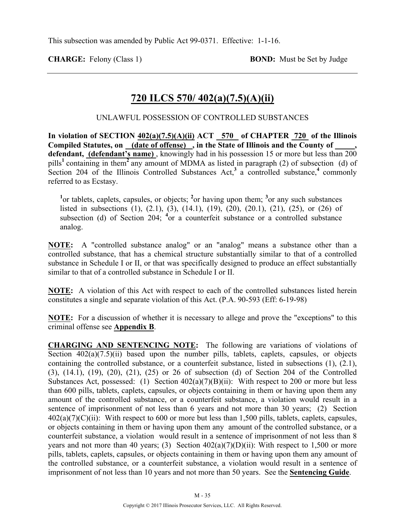**CHARGE:** Felony (Class 1) **BOND:** Must be Set by Judge

## **720 ILCS 570/ 402(a)(7.5)(A)(ii)**

UNLAWFUL POSSESSION OF CONTROLLED SUBSTANCES

**In violation of SECTION 402(a)(7.5)(A)(ii) ACT 570 of CHAPTER 720 of the Illinois Compiled Statutes, on (date of offense) , in the State of Illinois and the County of \_\_\_\_\_, defendant, (defendant's name)** , knowingly had in his possession 15 or more but less than 200 pills**<sup>1</sup>**containing in them**<sup>2</sup>**any amount of MDMA as listed in paragraph (2) of subsection (d) of Section 204 of the Illinois Controlled Substances Act,<sup>3</sup> a controlled substance,<sup>4</sup> commonly referred to as Ecstasy.

<sup>1</sup><sup>or</sup> tablets, caplets, capsules, or objects; <sup>2</sup><sub>or</sub> having upon them; <sup>3</sup><sub>or</sub> any such substances listed in subsections (1), (2.1), (3), (14.1), (19), (20), (20.1), (21), (25), or (26) of subsection (d) of Section 204; <sup>4</sup>or a counterfeit substance or a controlled substance analog.

**NOTE:** A "controlled substance analog" or an "analog" means a substance other than a controlled substance, that has a chemical structure substantially similar to that of a controlled substance in Schedule I or II, or that was specifically designed to produce an effect substantially similar to that of a controlled substance in Schedule I or II.

**NOTE:** A violation of this Act with respect to each of the controlled substances listed herein constitutes a single and separate violation of this Act. (P.A. 90-593 (Eff: 6-19-98)

**NOTE:** For a discussion of whether it is necessary to allege and prove the "exceptions" to this criminal offense see **Appendix B**.

**CHARGING AND SENTENCING NOTE:** The following are variations of violations of Section  $402(a)(7.5)(ii)$  based upon the number pills, tablets, caplets, capsules, or objects containing the controlled substance, or a counterfeit substance, listed in subsections (1), (2.1), (3), (14.1), (19), (20), (21), (25) or 26 of subsection (d) of Section 204 of the Controlled Substances Act, possessed: (1) Section  $402(a)(7)(B)(ii)$ : With respect to 200 or more but less than 600 pills, tablets, caplets, capsules, or objects containing in them or having upon them any amount of the controlled substance, or a counterfeit substance, a violation would result in a sentence of imprisonment of not less than 6 years and not more than 30 years; (2) Section  $402(a)(7)(C)(ii)$ : With respect to 600 or more but less than 1,500 pills, tablets, caplets, capsules, or objects containing in them or having upon them any amount of the controlled substance, or a counterfeit substance, a violation would result in a sentence of imprisonment of not less than 8 years and not more than 40 years; (3) Section  $402(a)(7)(D)(ii)$ : With respect to 1,500 or more pills, tablets, caplets, capsules, or objects containing in them or having upon them any amount of the controlled substance, or a counterfeit substance, a violation would result in a sentence of imprisonment of not less than 10 years and not more than 50 years. See the **Sentencing Guide**.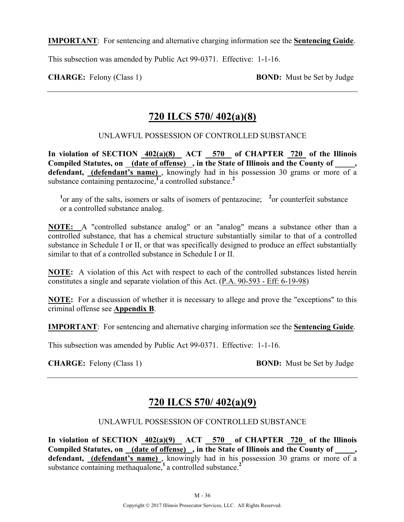**IMPORTANT**: For sentencing and alternative charging information see the **Sentencing Guide**.

This subsection was amended by Public Act 99-0371. Effective: 1-1-16.

**CHARGE:** Felony (Class 1) **BOND:** Must be Set by Judge

## **720 ILCS 570/ 402(a)(8)**

UNLAWFUL POSSESSION OF CONTROLLED SUBSTANCE

**In violation of SECTION 402(a)(8) ACT 570 of CHAPTER 720 of the Illinois**  Compiled Statutes, on (date of offense), in the State of Illinois and the County of, defendant, *(defendant's name)*, knowingly had in his possession 30 grams or more of a substance containing pentazocine,<sup>1</sup>a controlled substance.<sup>2</sup>

<sup>1</sup><sup>or</sup> any of the salts, isomers or salts of isomers of pentazocine; <sup>2</sup><sup>or</sup> counterfeit substance or a controlled substance analog.

**NOTE:** A "controlled substance analog" or an "analog" means a substance other than a controlled substance, that has a chemical structure substantially similar to that of a controlled substance in Schedule I or II, or that was specifically designed to produce an effect substantially similar to that of a controlled substance in Schedule I or II.

**NOTE:** A violation of this Act with respect to each of the controlled substances listed herein constitutes a single and separate violation of this Act. (P.A. 90-593 - Eff: 6-19-98)

**NOTE:** For a discussion of whether it is necessary to allege and prove the "exceptions" to this criminal offense see **Appendix B**.

**IMPORTANT**: For sentencing and alternative charging information see the **Sentencing Guide**.

This subsection was amended by Public Act 99-0371. Effective: 1-1-16.

**CHARGE:** Felony (Class 1) **BOND:** Must be Set by Judge

## **720 ILCS 570/ 402(a)(9)**

#### UNLAWFUL POSSESSION OF CONTROLLED SUBSTANCE

**In violation of SECTION 402(a)(9) ACT 570 of CHAPTER 720 of the Illinois Compiled Statutes, on (date of offense) , in the State of Illinois and the County of \_\_\_\_\_, defendant, (defendant's name)** , knowingly had in his possession 30 grams or more of a substance containing methaqualone,<sup>1</sup> a controlled substance.<sup>2</sup>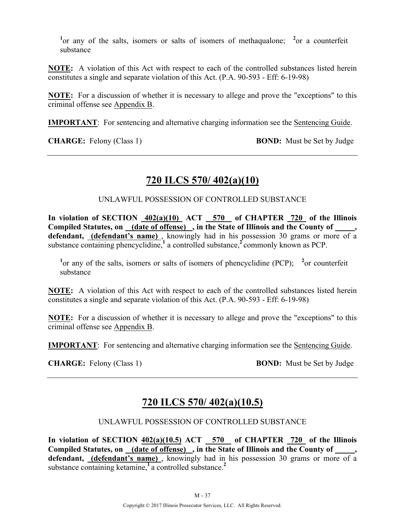<sup>1</sup> or any of the salts, isomers or salts of isomers of methaqualone; <sup>2</sup> or a counterfeit substance

**NOTE:** A violation of this Act with respect to each of the controlled substances listed herein constitutes a single and separate violation of this Act. (P.A. 90-593 - Eff: 6-19-98)

**NOTE:** For a discussion of whether it is necessary to allege and prove the "exceptions" to this criminal offense see Appendix B.

**IMPORTANT**: For sentencing and alternative charging information see the Sentencing Guide.

**CHARGE:** Felony (Class 1) **BOND:** Must be Set by Judge

# **720 ILCS 570/ 402(a)(10)**

UNLAWFUL POSSESSION OF CONTROLLED SUBSTANCE

In violation of SECTION  $402(a)(10)$  ACT 570 of CHAPTER 720 of the Illinois **Compiled Statutes, on (date of offense) , in the State of Illinois and the County of \_\_\_\_\_,**  defendant, *(defendant's name)*, knowingly had in his possession 30 grams or more of a substance containing phencyclidine, $\frac{1}{2}$  a controlled substance, $\frac{2}{2}$ commonly known as PCP.

<sup>1</sup> or any of the salts, isomers or salts of isomers of phencyclidine (PCP); <sup>2</sup> or counterfeit substance

**NOTE:** A violation of this Act with respect to each of the controlled substances listed herein constitutes a single and separate violation of this Act. (P.A. 90-593 - Eff: 6-19-98)

**NOTE:** For a discussion of whether it is necessary to allege and prove the "exceptions" to this criminal offense see Appendix B.

**IMPORTANT**: For sentencing and alternative charging information see the Sentencing Guide.

**CHARGE:** Felony (Class 1) **BOND:** Must be Set by Judge

# **720 ILCS 570/ 402(a)(10.5)**

#### UNLAWFUL POSSESSION OF CONTROLLED SUBSTANCE

**In violation of SECTION 402(a)(10.5) ACT 570 of CHAPTER 720 of the Illinois**  Compiled Statutes, on <u>(date of offense)</u>, in the State of Illinois and the County of defendant, (defendant's name), knowingly had in his possession 30 grams or more of a substance containing ketamine,**<sup>1</sup>** a controlled substance.**<sup>2</sup>**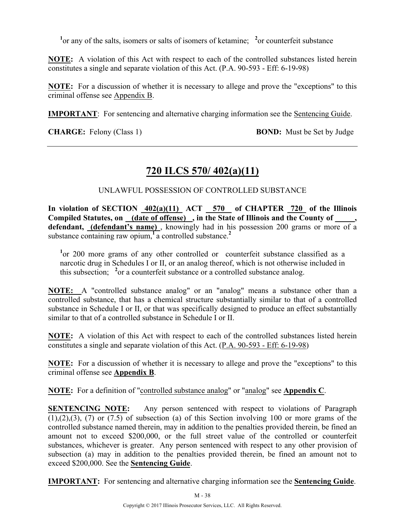<sup>1</sup> or any of the salts, isomers or salts of isomers of ketamine; <sup>2</sup> or counterfeit substance

**NOTE:** A violation of this Act with respect to each of the controlled substances listed herein constitutes a single and separate violation of this Act. (P.A. 90-593 - Eff: 6-19-98)

**NOTE:** For a discussion of whether it is necessary to allege and prove the "exceptions" to this criminal offense see Appendix B.

**IMPORTANT**: For sentencing and alternative charging information see the Sentencing Guide.

**CHARGE:** Felony (Class 1) **BOND:** Must be Set by Judge

# **720 ILCS 570/ 402(a)(11)**

UNLAWFUL POSSESSION OF CONTROLLED SUBSTANCE

In violation of SECTION  $402(a)(11)$  ACT 570 of CHAPTER 720 of the Illinois Compiled Statutes, on (date of offense), in the State of Illinois and the County of **defendant, (defendant's name)** , knowingly had in his possession 200 grams or more of a substance containing raw opium,**<sup>1</sup>**a controlled substance.**<sup>2</sup>**

<sup>1</sup> or 200 more grams of any other controlled or counterfeit substance classified as a narcotic drug in Schedules I or II, or an analog thereof, which is not otherwise included in this subsection; <sup>2</sup> or a counterfeit substance or a controlled substance analog.

**NOTE:** A "controlled substance analog" or an "analog" means a substance other than a controlled substance, that has a chemical structure substantially similar to that of a controlled substance in Schedule I or II, or that was specifically designed to produce an effect substantially similar to that of a controlled substance in Schedule I or II.

**NOTE:** A violation of this Act with respect to each of the controlled substances listed herein constitutes a single and separate violation of this Act. (P.A. 90-593 - Eff: 6-19-98)

**NOTE:** For a discussion of whether it is necessary to allege and prove the "exceptions" to this criminal offense see **Appendix B**.

**NOTE:** For a definition of "controlled substance analog" or "analog" see **Appendix C**.

**SENTENCING NOTE:** Any person sentenced with respect to violations of Paragraph  $(1), (2), (3), (7)$  or  $(7.5)$  of subsection (a) of this Section involving 100 or more grams of the controlled substance named therein, may in addition to the penalties provided therein, be fined an amount not to exceed \$200,000, or the full street value of the controlled or counterfeit substances, whichever is greater. Any person sentenced with respect to any other provision of subsection (a) may in addition to the penalties provided therein, be fined an amount not to exceed \$200,000. See the **Sentencing Guide**.

**IMPORTANT:** For sentencing and alternative charging information see the **Sentencing Guide**.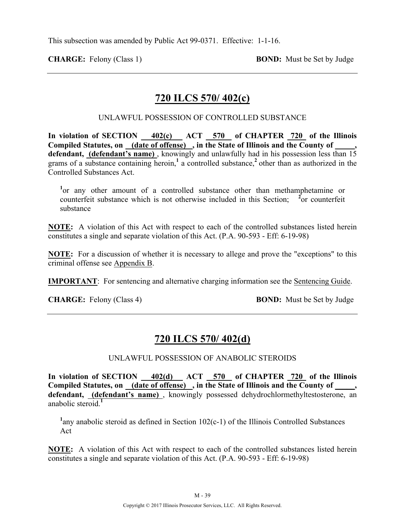This subsection was amended by Public Act 99-0371. Effective: 1-1-16.

**CHARGE:** Felony (Class 1) **BOND:** Must be Set by Judge

## **720 ILCS 570/ 402(c)**

UNLAWFUL POSSESSION OF CONTROLLED SUBSTANCE

In violation of SECTION  $\frac{402(c)}{c}$  ACT  $\frac{570}{c}$  of CHAPTER  $\frac{720}{c}$  of the Illinois **Compiled Statutes, on (date of offense) , in the State of Illinois and the County of \_\_\_\_\_, defendant, (defendant's name)** , knowingly and unlawfully had in his possession less than 15 grams of a substance containing heroin,**<sup>1</sup>** a controlled substance,**<sup>2</sup>**other than as authorized in the Controlled Substances Act.

<sup>1</sup> or any other amount of a controlled substance other than methamphetamine or counterfeit substance which is not otherwise included in this Section;  $\overline{a}$  or counterfeit substance

**NOTE:** A violation of this Act with respect to each of the controlled substances listed herein constitutes a single and separate violation of this Act. (P.A. 90-593 - Eff: 6-19-98)

**NOTE:** For a discussion of whether it is necessary to allege and prove the "exceptions" to this criminal offense see Appendix B.

**IMPORTANT**: For sentencing and alternative charging information see the Sentencing Guide.

**CHARGE:** Felony (Class 4) **BOND:** Must be Set by Judge

## **720 ILCS 570/ 402(d)**

UNLAWFUL POSSESSION OF ANABOLIC STEROIDS

**In violation of SECTION 402(d) ACT 570 of CHAPTER 720 of the Illinois Compiled Statutes, on (date of offense) , in the State of Illinois and the County of \_\_\_\_\_, defendant, (defendant's name)** , knowingly possessed dehydrochlormethyltestosterone, an anabolic steroid.**<sup>1</sup>**

<sup>1</sup>any anabolic steroid as defined in Section  $102(c-1)$  of the Illinois Controlled Substances Act

**NOTE:** A violation of this Act with respect to each of the controlled substances listed herein constitutes a single and separate violation of this Act. (P.A. 90-593 - Eff: 6-19-98)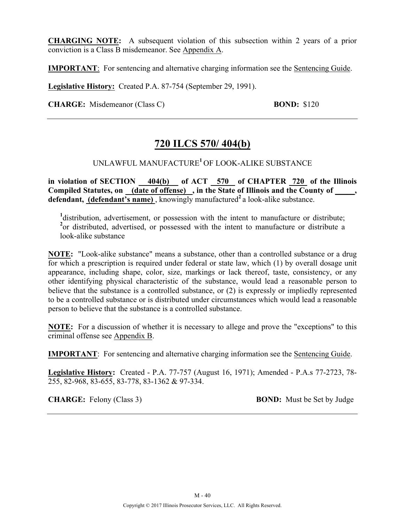**CHARGING NOTE:** A subsequent violation of this subsection within 2 years of a prior conviction is a Class B misdemeanor. See Appendix A.

**IMPORTANT**: For sentencing and alternative charging information see the Sentencing Guide.

**Legislative History:** Created P.A. 87-754 (September 29, 1991).

**CHARGE:** Misdemeanor (Class C) **BOND:** \$120

## **720 ILCS 570/ 404(b)**

#### UNLAWFUL MANUFACTURE**<sup>1</sup>**OF LOOK-ALIKE SUBSTANCE

**in violation of SECTION 404(b) of ACT 570 of CHAPTER 720 of the Illinois**  Compiled Statutes, on (date of offense), in the State of Illinois and the County of, **defendant, (defendant's name)**, knowingly manufactured<sup>2</sup> a look-alike substance.

<sup>1</sup>distribution, advertisement, or possession with the intent to manufacture or distribute; <sup>2</sup> or distributed, advertised, or possessed with the intent to manufacture or distribute a look-alike substance

**NOTE:** "Look-alike substance" means a substance, other than a controlled substance or a drug for which a prescription is required under federal or state law, which (1) by overall dosage unit appearance, including shape, color, size, markings or lack thereof, taste, consistency, or any other identifying physical characteristic of the substance, would lead a reasonable person to believe that the substance is a controlled substance, or (2) is expressly or impliedly represented to be a controlled substance or is distributed under circumstances which would lead a reasonable person to believe that the substance is a controlled substance.

**NOTE:** For a discussion of whether it is necessary to allege and prove the "exceptions" to this criminal offense see Appendix B.

**IMPORTANT**: For sentencing and alternative charging information see the Sentencing Guide.

**Legislative History:** Created - P.A. 77-757 (August 16, 1971); Amended - P.A.s 77-2723, 78- 255, 82-968, 83-655, 83-778, 83-1362 & 97-334.

**CHARGE:** Felony (Class 3) **BOND:** Must be Set by Judge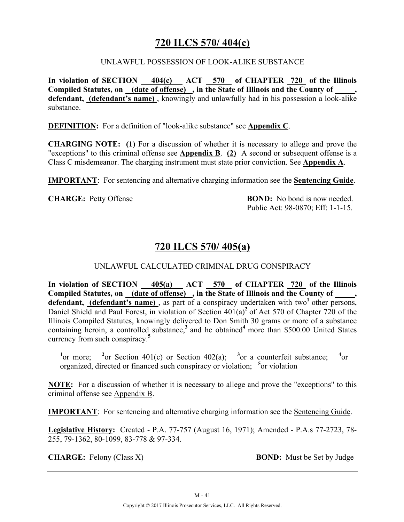## **720 ILCS 570/ 404(c)**

#### UNLAWFUL POSSESSION OF LOOK-ALIKE SUBSTANCE

**In violation of SECTION 404(c) ACT 570 of CHAPTER 720 of the Illinois Compiled Statutes, on (date of offense) , in the State of Illinois and the County of \_\_\_\_\_, defendant, (defendant's name)** , knowingly and unlawfully had in his possession a look-alike substance.

**DEFINITION:** For a definition of "look-alike substance" see **Appendix C**.

**CHARGING NOTE: (1)** For a discussion of whether it is necessary to allege and prove the "exceptions" to this criminal offense see **Appendix B**. **(2)** A second or subsequent offense is a Class C misdemeanor. The charging instrument must state prior conviction. See **Appendix A**.

**IMPORTANT**: For sentencing and alternative charging information see the **Sentencing Guide**.

**CHARGE:** Petty Offense **BOND:** No bond is now needed. Public Act: 98-0870; Eff: 1-1-15.

# **720 ILCS 570/ 405(a)**

#### UNLAWFUL CALCULATED CRIMINAL DRUG CONSPIRACY

**In violation of SECTION 405(a) ACT 570 of CHAPTER 720 of the Illinois Compiled Statutes, on (date of offense) , in the State of Illinois and the County of \_\_\_\_\_, defendant, (defendant's name)**, as part of a conspiracy undertaken with two<sup>1</sup> other persons, Daniel Shield and Paul Forest, in violation of Section 401(a)<sup>2</sup> of Act 570 of Chapter 720 of the Illinois Compiled Statutes, knowingly delivered to Don Smith 30 grams or more of a substance containing heroin, a controlled substance,<sup>3</sup> and he obtained<sup>4</sup> more than \$500.00 United States currency from such conspiracy.**<sup>5</sup>**

<sup>1</sup>or more; <sup>2</sup> or Section 401(c) or Section 402(a); <sup>3</sup> or a counterfeit substance; <sup>4</sup>  $^{4}$ or organized, directed or financed such conspiracy or violation; **<sup>5</sup>** or violation

**NOTE:** For a discussion of whether it is necessary to allege and prove the "exceptions" to this criminal offense see Appendix B.

**IMPORTANT**: For sentencing and alternative charging information see the Sentencing Guide.

**Legislative History:** Created - P.A. 77-757 (August 16, 1971); Amended - P.A.s 77-2723, 78- 255, 79-1362, 80-1099, 83-778 & 97-334.

**CHARGE:** Felony (Class X) **BOND:** Must be Set by Judge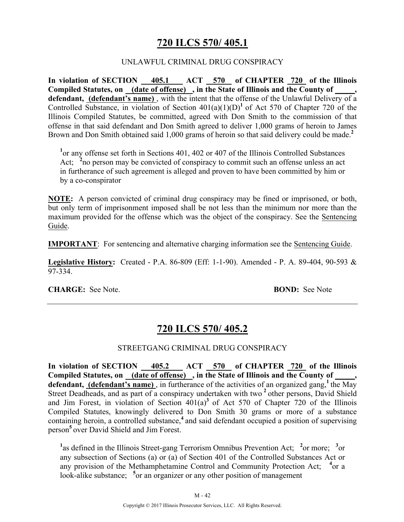## **720 ILCS 570/ 405.1**

#### UNLAWFUL CRIMINAL DRUG CONSPIRACY

**In violation of SECTION 405.1 ACT 570 of CHAPTER 720 of the Illinois Compiled Statutes, on (date of offense) , in the State of Illinois and the County of \_\_\_\_\_,**  defendant, (defendant's name), with the intent that the offense of the Unlawful Delivery of a Controlled Substance, in violation of Section  $401(a)(1)(D)^1$  of Act 570 of Chapter 720 of the Illinois Compiled Statutes, be committed, agreed with Don Smith to the commission of that offense in that said defendant and Don Smith agreed to deliver 1,000 grams of heroin to James Brown and Don Smith obtained said 1,000 grams of heroin so that said delivery could be made.<sup>2</sup>

<sup>1</sup> or any offense set forth in Sections 401, 402 or 407 of the Illinois Controlled Substances Act; <sup>2</sup>no person may be convicted of conspiracy to commit such an offense unless an act in furtherance of such agreement is alleged and proven to have been committed by him or by a co-conspirator

**NOTE:** A person convicted of criminal drug conspiracy may be fined or imprisoned, or both, but only term of imprisonment imposed shall be not less than the minimum nor more than the maximum provided for the offense which was the object of the conspiracy. See the Sentencing Guide.

**IMPORTANT**: For sentencing and alternative charging information see the Sentencing Guide.

**Legislative History:** Created - P.A. 86-809 (Eff: 1-1-90). Amended - P. A. 89-404, 90-593 & 97-334.

**CHARGE:** See Note. **BOND:** See Note

## **720 ILCS 570/ 405.2**

#### STREETGANG CRIMINAL DRUG CONSPIRACY

**In violation of SECTION 405.2 ACT 570 of CHAPTER 720 of the Illinois**  Compiled Statutes, on (date of offense), in the State of Illinois and the County of, defendant, (defendant's name), in furtherance of the activities of an organized gang, the May Street Deadheads, and as part of a conspiracy undertaken with two <sup>2</sup> other persons, David Shield and Jim Forest, in violation of Section  $401(a)^3$  of Act 570 of Chapter 720 of the Illinois Compiled Statutes, knowingly delivered to Don Smith 30 grams or more of a substance containing heroin, a controlled substance,**<sup>4</sup>**and said defendant occupied a position of supervising person**<sup>5</sup>**over David Shield and Jim Forest.

<sup>1</sup> as defined in the Illinois Street-gang Terrorism Omnibus Prevention Act; <sup>2</sup> or more; <sup>3</sup> or any subsection of Sections (a) or (a) of Section 401 of the Controlled Substances Act or any provision of the Methamphetamine Control and Community Protection Act; <sup>4</sup>or a look-alike substance; <sup>5</sup> or an organizer or any other position of management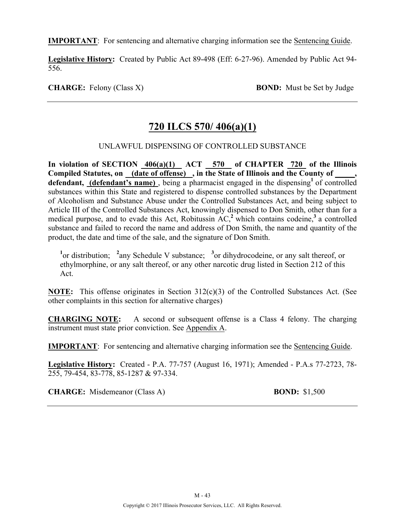**IMPORTANT**: For sentencing and alternative charging information see the Sentencing Guide.

**Legislative History:** Created by Public Act 89-498 (Eff: 6-27-96). Amended by Public Act 94- 556.

**CHARGE:** Felony (Class X) **BOND:** Must be Set by Judge

## **720 ILCS 570/ 406(a)(1)**

#### UNLAWFUL DISPENSING OF CONTROLLED SUBSTANCE

**In violation of SECTION 406(a)(1) ACT 570 of CHAPTER 720 of the Illinois**  Compiled Statutes, on **(date of offense)**, in the State of Illinois and the County of defendant, (defendant's name), being a pharmacist engaged in the dispensing<sup>1</sup> of controlled substances within this State and registered to dispense controlled substances by the Department of Alcoholism and Substance Abuse under the Controlled Substances Act, and being subject to Article III of the Controlled Substances Act, knowingly dispensed to Don Smith, other than for a medical purpose, and to evade this Act, Robitussin AC,**<sup>2</sup>**which contains codeine,**<sup>3</sup>**a controlled substance and failed to record the name and address of Don Smith, the name and quantity of the product, the date and time of the sale, and the signature of Don Smith.

<sup>1</sup><sup>or</sup> distribution; <sup>2</sup> any Schedule V substance; <sup>3</sup> or dihydrocodeine, or any salt thereof, or ethylmorphine, or any salt thereof, or any other narcotic drug listed in Section 212 of this Act.

**NOTE:** This offense originates in Section 312(c)(3) of the Controlled Substances Act. (See other complaints in this section for alternative charges)

**CHARGING NOTE:** A second or subsequent offense is a Class 4 felony. The charging instrument must state prior conviction. See Appendix A.

**IMPORTANT**: For sentencing and alternative charging information see the Sentencing Guide.

**Legislative History:** Created - P.A. 77-757 (August 16, 1971); Amended - P.A.s 77-2723, 78- 255, 79-454, 83-778, 85-1287 & 97-334.

**CHARGE:** Misdemeanor (Class A) **BOND:** \$1,500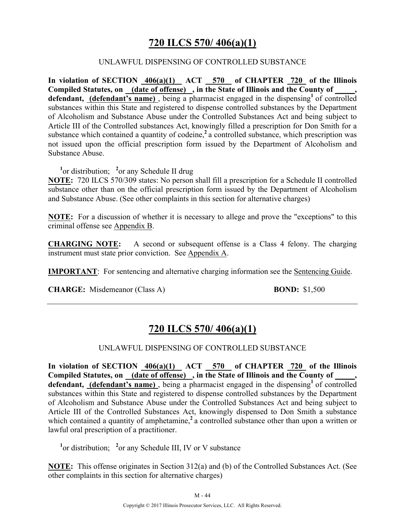## **720 ILCS 570/ 406(a)(1)**

#### UNLAWFUL DISPENSING OF CONTROLLED SUBSTANCE

**In violation of SECTION 406(a)(1) ACT 570 of CHAPTER 720 of the Illinois Compiled Statutes, on (date of offense) , in the State of Illinois and the County of \_\_\_\_\_,**  defendant, (defendant's name), being a pharmacist engaged in the dispensing<sup>1</sup> of controlled substances within this State and registered to dispense controlled substances by the Department of Alcoholism and Substance Abuse under the Controlled Substances Act and being subject to Article III of the Controlled substances Act, knowingly filled a prescription for Don Smith for a substance which contained a quantity of codeine,<sup>2</sup> a controlled substance, which prescription was not issued upon the official prescription form issued by the Department of Alcoholism and Substance Abuse.

<sup>1</sup> or distribution; <sup>2</sup> or any Schedule II drug

**NOTE:** 720 ILCS 570/309 states: No person shall fill a prescription for a Schedule II controlled substance other than on the official prescription form issued by the Department of Alcoholism and Substance Abuse. (See other complaints in this section for alternative charges)

**NOTE:** For a discussion of whether it is necessary to allege and prove the "exceptions" to this criminal offense see Appendix B.

**CHARGING NOTE:** A second or subsequent offense is a Class 4 felony. The charging instrument must state prior conviction. See Appendix A.

**IMPORTANT**: For sentencing and alternative charging information see the Sentencing Guide.

**CHARGE:** Misdemeanor (Class A) **BOND:** \$1,500

# **720 ILCS 570/ 406(a)(1)**

#### UNLAWFUL DISPENSING OF CONTROLLED SUBSTANCE

**In violation of SECTION 406(a)(1) ACT 570 of CHAPTER 720 of the Illinois**  Compiled Statutes, on (date of offense), in the State of Illinois and the County of, defendant, (defendant's name), being a pharmacist engaged in the dispensing<sup>1</sup> of controlled substances within this State and registered to dispense controlled substances by the Department of Alcoholism and Substance Abuse under the Controlled Substances Act and being subject to Article III of the Controlled Substances Act, knowingly dispensed to Don Smith a substance which contained a quantity of amphetamine,<sup>2</sup> a controlled substance other than upon a written or lawful oral prescription of a practitioner.

<sup>1</sup> or distribution; <sup>2</sup> or any Schedule III, IV or V substance

**NOTE:** This offense originates in Section 312(a) and (b) of the Controlled Substances Act. (See other complaints in this section for alternative charges)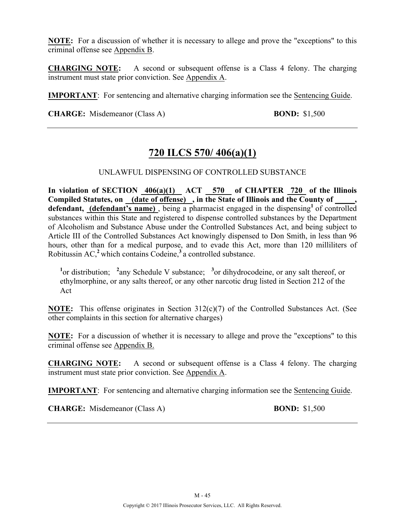**NOTE:** For a discussion of whether it is necessary to allege and prove the "exceptions" to this criminal offense see Appendix B.

**CHARGING NOTE:** A second or subsequent offense is a Class 4 felony. The charging instrument must state prior conviction. See Appendix A.

**IMPORTANT**: For sentencing and alternative charging information see the Sentencing Guide.

**CHARGE:** Misdemeanor (Class A) **BOND:** \$1,500

## **720 ILCS 570/ 406(a)(1)**

UNLAWFUL DISPENSING OF CONTROLLED SUBSTANCE

In violation of SECTION  $\frac{406(a)(1)}{10(a)(1)}$  ACT 570 of CHAPTER 720 of the Illinois Compiled Statutes, on <u>(date of off</u>ense), in the State of Illinois and the County of defendant, (defendant's name), being a pharmacist engaged in the dispensing<sup>1</sup> of controlled substances within this State and registered to dispense controlled substances by the Department of Alcoholism and Substance Abuse under the Controlled Substances Act, and being subject to Article III of the Controlled Substances Act knowingly dispensed to Don Smith, in less than 96 hours, other than for a medical purpose, and to evade this Act, more than 120 milliliters of Robitussin AC,**<sup>2</sup>**which contains Codeine,**<sup>3</sup>**a controlled substance.

<sup>1</sup> or distribution; <sup>2</sup> any Schedule V substance; <sup>3</sup> or dihydrocodeine, or any salt thereof, or ethylmorphine, or any salts thereof, or any other narcotic drug listed in Section 212 of the Act

**NOTE:** This offense originates in Section 312(c)(7) of the Controlled Substances Act. (See other complaints in this section for alternative charges)

**NOTE:** For a discussion of whether it is necessary to allege and prove the "exceptions" to this criminal offense see Appendix B.

**CHARGING NOTE:** A second or subsequent offense is a Class 4 felony. The charging instrument must state prior conviction. See Appendix A.

**IMPORTANT**: For sentencing and alternative charging information see the Sentencing Guide.

**CHARGE:** Misdemeanor (Class A) **BOND:** \$1,500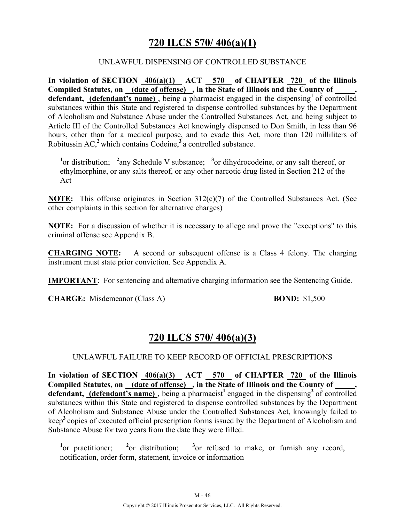## **720 ILCS 570/ 406(a)(1)**

#### UNLAWFUL DISPENSING OF CONTROLLED SUBSTANCE

**In violation of SECTION 406(a)(1) ACT 570 of CHAPTER 720 of the Illinois Compiled Statutes, on (date of offense) , in the State of Illinois and the County of \_\_\_\_\_,**  defendant, (defendant's name), being a pharmacist engaged in the dispensing<sup>1</sup> of controlled substances within this State and registered to dispense controlled substances by the Department of Alcoholism and Substance Abuse under the Controlled Substances Act, and being subject to Article III of the Controlled Substances Act knowingly dispensed to Don Smith, in less than 96 hours, other than for a medical purpose, and to evade this Act, more than 120 milliliters of Robitussin AC,**<sup>2</sup>**which contains Codeine,**<sup>3</sup>**a controlled substance.

<sup>1</sup><sup>or</sup> distribution; <sup>2</sup> any Schedule V substance; <sup>3</sup> or dihydrocodeine, or any salt thereof, or ethylmorphine, or any salts thereof, or any other narcotic drug listed in Section 212 of the Act

**NOTE:** This offense originates in Section 312(c)(7) of the Controlled Substances Act. (See other complaints in this section for alternative charges)

**NOTE:** For a discussion of whether it is necessary to allege and prove the "exceptions" to this criminal offense see Appendix B.

**CHARGING NOTE:** A second or subsequent offense is a Class 4 felony. The charging instrument must state prior conviction. See Appendix A.

**IMPORTANT**: For sentencing and alternative charging information see the Sentencing Guide.

**CHARGE:** Misdemeanor (Class A) **BOND:** \$1,500

## **720 ILCS 570/ 406(a)(3)**

#### UNLAWFUL FAILURE TO KEEP RECORD OF OFFICIAL PRESCRIPTIONS

In violation of SECTION  $\frac{406(a)(3)}{20}$  ACT  $\frac{570}{20}$  of CHAPTER  $\frac{720}{20}$  of the Illinois **Compiled Statutes, on (date of offense) , in the State of Illinois and the County of \_\_\_\_\_,**  defendant, (defendant's name), being a pharmacist<sup>1</sup> engaged in the dispensing<sup>2</sup> of controlled substances within this State and registered to dispense controlled substances by the Department of Alcoholism and Substance Abuse under the Controlled Substances Act, knowingly failed to keep**<sup>3</sup>**copies of executed official prescription forms issued by the Department of Alcoholism and Substance Abuse for two years from the date they were filled.

<sup>1</sup><sub>or</sub> practitioner; <sup>2</sup> <sup>2</sup>or distribution;  $3$ or refused to make, or furnish any record, notification, order form, statement, invoice or information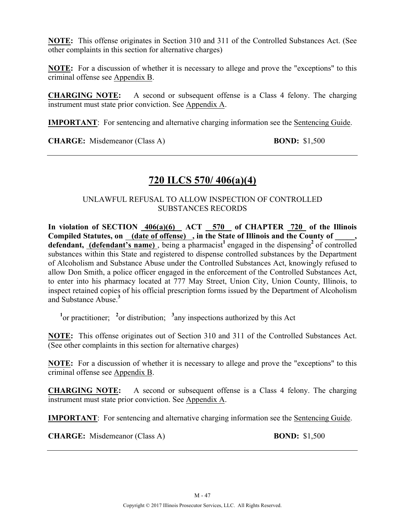**NOTE:** This offense originates in Section 310 and 311 of the Controlled Substances Act. (See other complaints in this section for alternative charges)

**NOTE:** For a discussion of whether it is necessary to allege and prove the "exceptions" to this criminal offense see Appendix B.

**CHARGING NOTE:** A second or subsequent offense is a Class 4 felony. The charging instrument must state prior conviction. See Appendix A.

**IMPORTANT**: For sentencing and alternative charging information see the Sentencing Guide.

**CHARGE:** Misdemeanor (Class A) **BOND:** \$1,500

## **720 ILCS 570/ 406(a)(4)**

#### UNLAWFUL REFUSAL TO ALLOW INSPECTION OF CONTROLLED SUBSTANCES RECORDS

**In violation of SECTION 406(a)(6) ACT 570 of CHAPTER 720 of the Illinois Compiled Statutes, on (date of offense) , in the State of Illinois and the County of \_\_\_\_\_, defendant, (defendant's name)**, being a pharmacist<sup>1</sup> engaged in the dispensing<sup>2</sup> of controlled substances within this State and registered to dispense controlled substances by the Department of Alcoholism and Substance Abuse under the Controlled Substances Act, knowingly refused to allow Don Smith, a police officer engaged in the enforcement of the Controlled Substances Act, to enter into his pharmacy located at 777 May Street, Union City, Union County, Illinois, to inspect retained copies of his official prescription forms issued by the Department of Alcoholism and Substance Abuse.**<sup>3</sup>**

<sup>1</sup><sup>or</sup> practitioner; <sup>2</sup><sup>or</sup> distribution; <sup>3</sup><sub>any</sub> inspections authorized by this Act

**NOTE:** This offense originates out of Section 310 and 311 of the Controlled Substances Act. (See other complaints in this section for alternative charges)

**NOTE:** For a discussion of whether it is necessary to allege and prove the "exceptions" to this criminal offense see Appendix B.

**CHARGING NOTE:** A second or subsequent offense is a Class 4 felony. The charging instrument must state prior conviction. See Appendix A.

**IMPORTANT**: For sentencing and alternative charging information see the Sentencing Guide.

**CHARGE:** Misdemeanor (Class A) **BOND:** \$1,500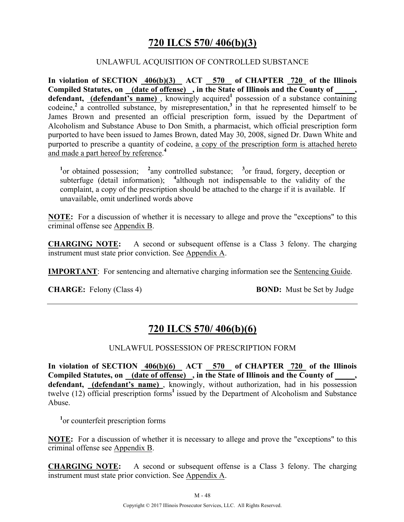## **720 ILCS 570/ 406(b)(3)**

#### UNLAWFUL ACQUISITION OF CONTROLLED SUBSTANCE

**In violation of SECTION 406(b)(3) ACT 570 of CHAPTER 720 of the Illinois Compiled Statutes, on (date of offense) , in the State of Illinois and the County of \_\_\_\_\_,**  defendant, (defendant's name), knowingly acquired<sup>1</sup> possession of a substance containing codeine,<sup>2</sup> a controlled substance, by misrepresentation,<sup>3</sup> in that he represented himself to be James Brown and presented an official prescription form, issued by the Department of Alcoholism and Substance Abuse to Don Smith, a pharmacist, which official prescription form purported to have been issued to James Brown, dated May 30, 2008, signed Dr. Dawn White and purported to prescribe a quantity of codeine, a copy of the prescription form is attached hereto and made a part hereof by reference. **4** 

<sup>1</sup><sup>or</sup> obtained possession; <sup>2</sup> any controlled substance; <sup>3</sup> or fraud, forgery, deception or subterfuge (detail information); <sup>4</sup> although not indispensable to the validity of the complaint, a copy of the prescription should be attached to the charge if it is available. If unavailable, omit underlined words above

**NOTE:** For a discussion of whether it is necessary to allege and prove the "exceptions" to this criminal offense see Appendix B.

**CHARGING NOTE:** A second or subsequent offense is a Class 3 felony. The charging instrument must state prior conviction. See Appendix A.

**IMPORTANT**: For sentencing and alternative charging information see the Sentencing Guide.

**CHARGE:** Felony (Class 4) **BOND:** Must be Set by Judge

# **720 ILCS 570/ 406(b)(6)**

#### UNLAWFUL POSSESSION OF PRESCRIPTION FORM

**In violation of SECTION 406(b)(6) ACT 570 of CHAPTER 720 of the Illinois Compiled Statutes, on (date of offense) , in the State of Illinois and the County of \_\_\_\_\_, defendant, (defendant's name)** , knowingly, without authorization, had in his possession twelve (12) official prescription forms<sup>1</sup> issued by the Department of Alcoholism and Substance Abuse.

**1** or counterfeit prescription forms

**NOTE:** For a discussion of whether it is necessary to allege and prove the "exceptions" to this criminal offense see Appendix B.

**CHARGING NOTE:** A second or subsequent offense is a Class 3 felony. The charging instrument must state prior conviction. See Appendix A.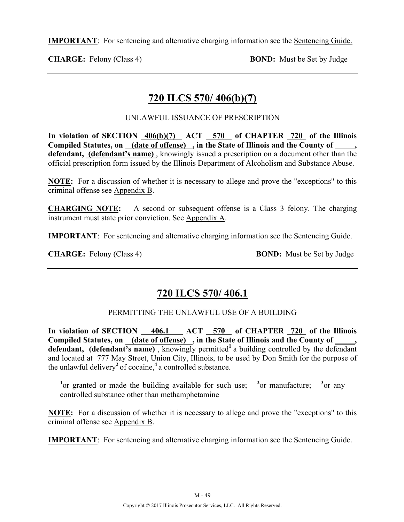**IMPORTANT**: For sentencing and alternative charging information see the Sentencing Guide.

**CHARGE:** Felony (Class 4) **BOND:** Must be Set by Judge

# **720 ILCS 570/ 406(b)(7)**

UNLAWFUL ISSUANCE OF PRESCRIPTION

In violation of SECTION  $\frac{406(b)(7)}{20}$  ACT 570 of CHAPTER 720 of the Illinois **Compiled Statutes, on (date of offense) , in the State of Illinois and the County of \_\_\_\_\_, defendant, (defendant's name)** , knowingly issued a prescription on a document other than the official prescription form issued by the Illinois Department of Alcoholism and Substance Abuse.

**NOTE:** For a discussion of whether it is necessary to allege and prove the "exceptions" to this criminal offense see Appendix B.

**CHARGING NOTE:** A second or subsequent offense is a Class 3 felony. The charging instrument must state prior conviction. See Appendix A.

**IMPORTANT**: For sentencing and alternative charging information see the Sentencing Guide.

**CHARGE:** Felony (Class 4) **BOND:** Must be Set by Judge

# **720 ILCS 570/ 406.1**

#### PERMITTING THE UNLAWFUL USE OF A BUILDING

**In violation of SECTION 406.1 ACT 570 of CHAPTER 720 of the Illinois Compiled Statutes, on (date of offense) , in the State of Illinois and the County of \_\_\_\_\_,**  defendant, (defendant's name), knowingly permitted<sup>1</sup> a building controlled by the defendant and located at 777 May Street, Union City, Illinois, to be used by Don Smith for the purpose of the unlawful delivery**<sup>2</sup>**of cocaine,**<sup>4</sup>**a controlled substance.

<sup>1</sup> or granted or made the building available for such use; <sup>2</sup> or manufacture; <sup>3</sup>  $3_{\text{or any}}$ controlled substance other than methamphetamine

**NOTE:** For a discussion of whether it is necessary to allege and prove the "exceptions" to this criminal offense see Appendix B.

**IMPORTANT**: For sentencing and alternative charging information see the Sentencing Guide.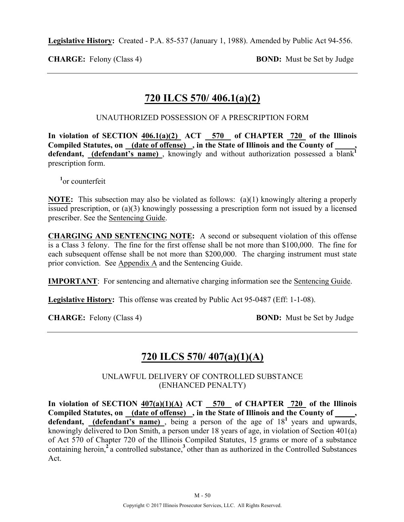**Legislative History:** Created - P.A. 85-537 (January 1, 1988). Amended by Public Act 94-556.

**CHARGE:** Felony (Class 4) **BOND:** Must be Set by Judge

# **720 ILCS 570/ 406.1(a)(2)**

UNAUTHORIZED POSSESSION OF A PRESCRIPTION FORM

In violation of SECTION  $406.1(a)(2)$  ACT 570 of CHAPTER 720 of the Illinois **Compiled Statutes, on (date of offense) , in the State of Illinois and the County of \_\_\_\_\_,**  defendant, **(defendant's name)**, knowingly and without authorization possessed a blank<sup>1</sup> prescription form.

**1** or counterfeit

**NOTE:** This subsection may also be violated as follows: (a)(1) knowingly altering a properly issued prescription, or (a)(3) knowingly possessing a prescription form not issued by a licensed prescriber. See the Sentencing Guide.

**CHARGING AND SENTENCING NOTE:** A second or subsequent violation of this offense is a Class 3 felony. The fine for the first offense shall be not more than \$100,000. The fine for each subsequent offense shall be not more than \$200,000. The charging instrument must state prior conviction. See Appendix A and the Sentencing Guide.

**IMPORTANT**: For sentencing and alternative charging information see the Sentencing Guide.

**Legislative History:** This offense was created by Public Act 95-0487 (Eff: 1-1-08).

**CHARGE:** Felony (Class 4) **BOND:** Must be Set by Judge

## **720 ILCS 570/ 407(a)(1)(A)**

UNLAWFUL DELIVERY OF CONTROLLED SUBSTANCE (ENHANCED PENALTY)

In violation of SECTION  $407(a)(1)(A)$  ACT  $-570$  of CHAPTER  $-720$  of the Illinois Compiled Statutes, on (date of offense), in the State of Illinois and the County of, **defendant,** (**defendant's name**), being a person of the age of  $18<sup>1</sup>$  years and upwards, knowingly delivered to Don Smith, a person under 18 years of age, in violation of Section 401(a) of Act 570 of Chapter 720 of the Illinois Compiled Statutes, 15 grams or more of a substance containing heroin,**<sup>2</sup>**a controlled substance,**<sup>3</sup>**other than as authorized in the Controlled Substances Act.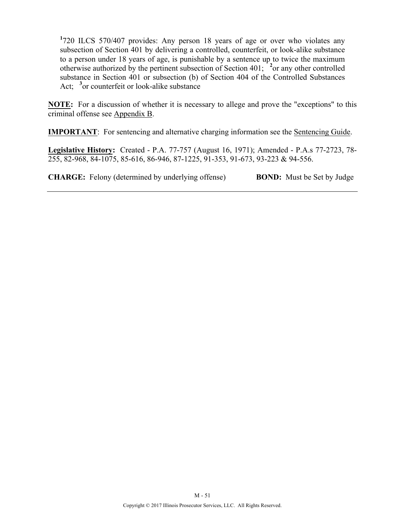**1** 720 ILCS 570/407 provides: Any person 18 years of age or over who violates any subsection of Section 401 by delivering a controlled, counterfeit, or look-alike substance to a person under 18 years of age, is punishable by a sentence up to twice the maximum otherwise authorized by the pertinent subsection of Section 401; **<sup>2</sup>** or any other controlled substance in Section 401 or subsection (b) of Section 404 of the Controlled Substances Act; <sup>3</sup> or counterfeit or look-alike substance

**NOTE:** For a discussion of whether it is necessary to allege and prove the "exceptions" to this criminal offense see Appendix B.

**IMPORTANT**: For sentencing and alternative charging information see the Sentencing Guide.

**Legislative History:** Created - P.A. 77-757 (August 16, 1971); Amended - P.A.s 77-2723, 78- 255, 82-968, 84-1075, 85-616, 86-946, 87-1225, 91-353, 91-673, 93-223 & 94-556.

**CHARGE:** Felony (determined by underlying offense) **BOND:** Must be Set by Judge